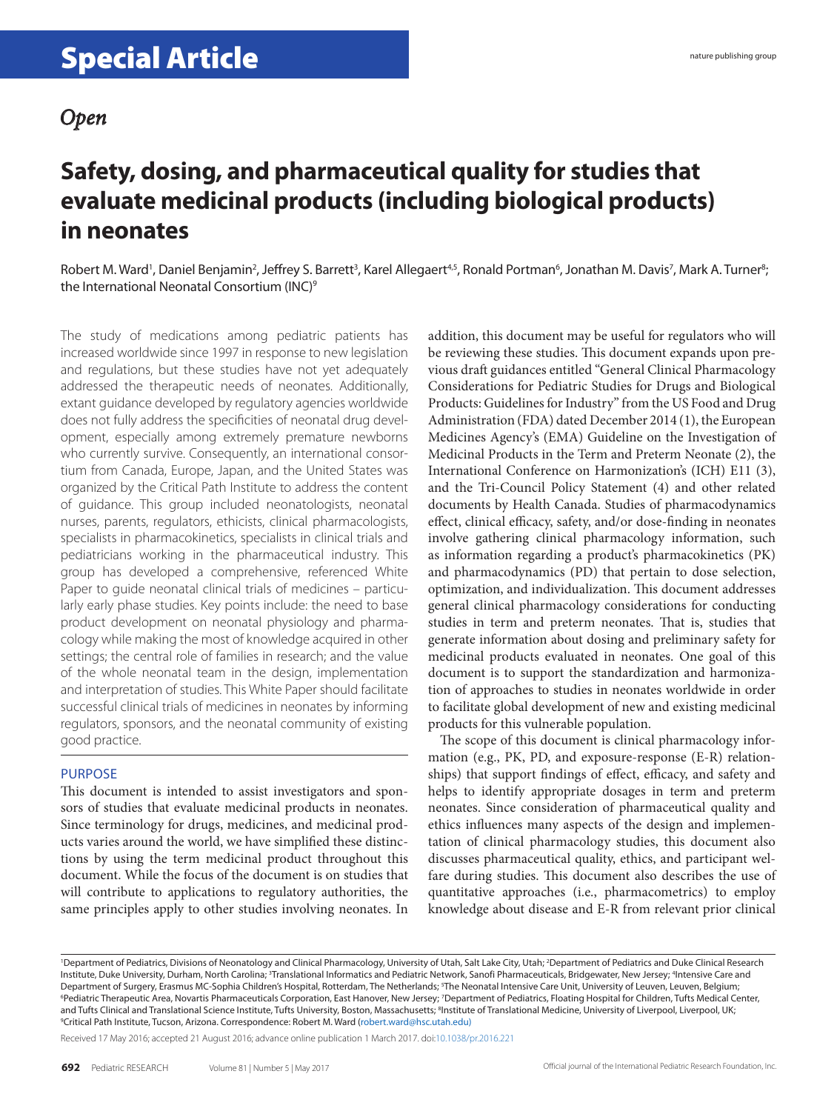### **Safety, dosing, and pharmaceutical quality for studies that evaluate medicinal products (including biological products) in neonates**

Robert M. Ward<sup>1</sup>, Daniel Benjamin<sup>2</sup>, Jeffrey S. Barrett<sup>3</sup>, Karel Allegaert<sup>4,5</sup>, Ronald Portman<sup>6</sup>, Jonathan M. Davis<sup>7</sup>, Mark A. Turner<sup>8</sup>; the International Neonatal Consortium (INC)<sup>9</sup>

The study of medications among pediatric patients has increased worldwide since 1997 in response to new legislation and regulations, but these studies have not yet adequately addressed the therapeutic needs of neonates. Additionally, extant guidance developed by regulatory agencies worldwide does not fully address the specificities of neonatal drug development, especially among extremely premature newborns who currently survive. Consequently, an international consortium from Canada, Europe, Japan, and the United States was organized by the Critical Path Institute to address the content of guidance. This group included neonatologists, neonatal nurses, parents, regulators, ethicists, clinical pharmacologists, specialists in pharmacokinetics, specialists in clinical trials and pediatricians working in the pharmaceutical industry. This group has developed a comprehensive, referenced White Paper to guide neonatal clinical trials of medicines – particularly early phase studies. Key points include: the need to base product development on neonatal physiology and pharmacology while making the most of knowledge acquired in other settings; the central role of families in research; and the value of the whole neonatal team in the design, implementation and interpretation of studies. This White Paper should facilitate successful clinical trials of medicines in neonates by informing regulators, sponsors, and the neonatal community of existing good practice.

#### PURPOSE

This document is intended to assist investigators and sponsors of studies that evaluate medicinal products in neonates. Since terminology for drugs, medicines, and medicinal products varies around the world, we have simplified these distinctions by using the term medicinal product throughout this document. While the focus of the document is on studies that will contribute to applications to regulatory authorities, the same principles apply to other studies involving neonates. In

addition, this document may be useful for regulators who will be reviewing these studies. This document expands upon previous draft guidances entitled "General Clinical Pharmacology Considerations for Pediatric Studies for Drugs and Biological Products: Guidelines for Industry" from the US Food and Drug Administration (FDA) dated December 2014 (1), the European Medicines Agency's (EMA) Guideline on the Investigation of Medicinal Products in the Term and Preterm Neonate (2), the International Conference on Harmonization's (ICH) E11 (3), and the Tri-Council Policy Statement (4) and other related documents by Health Canada. Studies of pharmacodynamics effect, clinical efficacy, safety, and/or dose-finding in neonates involve gathering clinical pharmacology information, such as information regarding a product's pharmacokinetics (PK) and pharmacodynamics (PD) that pertain to dose selection, optimization, and individualization. This document addresses general clinical pharmacology considerations for conducting studies in term and preterm neonates. That is, studies that generate information about dosing and preliminary safety for medicinal products evaluated in neonates. One goal of this document is to support the standardization and harmonization of approaches to studies in neonates worldwide in order to facilitate global development of new and existing medicinal products for this vulnerable population.

The scope of this document is clinical pharmacology information (e.g., PK, PD, and exposure-response (E-R) relationships) that support findings of effect, efficacy, and safety and helps to identify appropriate dosages in term and preterm neonates. Since consideration of pharmaceutical quality and ethics influences many aspects of the design and implementation of clinical pharmacology studies, this document also discusses pharmaceutical quality, ethics, and participant welfare during studies. This document also describes the use of quantitative approaches (i.e., pharmacometrics) to employ knowledge about disease and E-R from relevant prior clinical

Received 17 May 2016; accepted 21 August 2016; advance online publication 1 March 2017. doi[:10.1038/pr.2016.221](http://www.nature.com/doifinder/10.1038/pr.2016.221)

<sup>&</sup>lt;sup>1</sup>Department of Pediatrics, Divisions of Neonatology and Clinical Pharmacology, University of Utah, Salt Lake City, Utah; <sup>2</sup>Department of Pediatrics and Duke Clinical Research Institute, Duke University, Durham, North Carolina; <sup>3</sup>Translational Informatics and Pediatric Network, Sanofi Pharmaceuticals, Bridgewater, New Jersey; <sup>4</sup>Intensive Care and Department of Surgery, Erasmus MC-Sophia Children's Hospital, Rotterdam, The Netherlands; <sup>5</sup>The Neonatal Intensive Care Unit, University of Leuven, Leuven, Belgium, <sup>6</sup>Pediatric Therapeutic Area, Novartis Pharmaceuticals Corporation, East Hanover, New Jersey; <sup>7</sup>Department of Pediatrics, Floating Hospital for Children, Tufts Medical Center, and Tufts Clinical and Translational Science Institute, Tufts University, Boston, Massachusetts; <sup>8</sup>Institute of Translational Medicine, University of Liverpool, Liverpool, UK;<br><sup>9</sup>Critical Path Institute Tucson, Arizona, C <sup>9</sup>Critical Path Institute, Tucson, Arizona. Correspondence: Robert M. Ward ([robert.ward@hsc.utah.edu\)](mailto:robert.ward@hsc.utah.edu))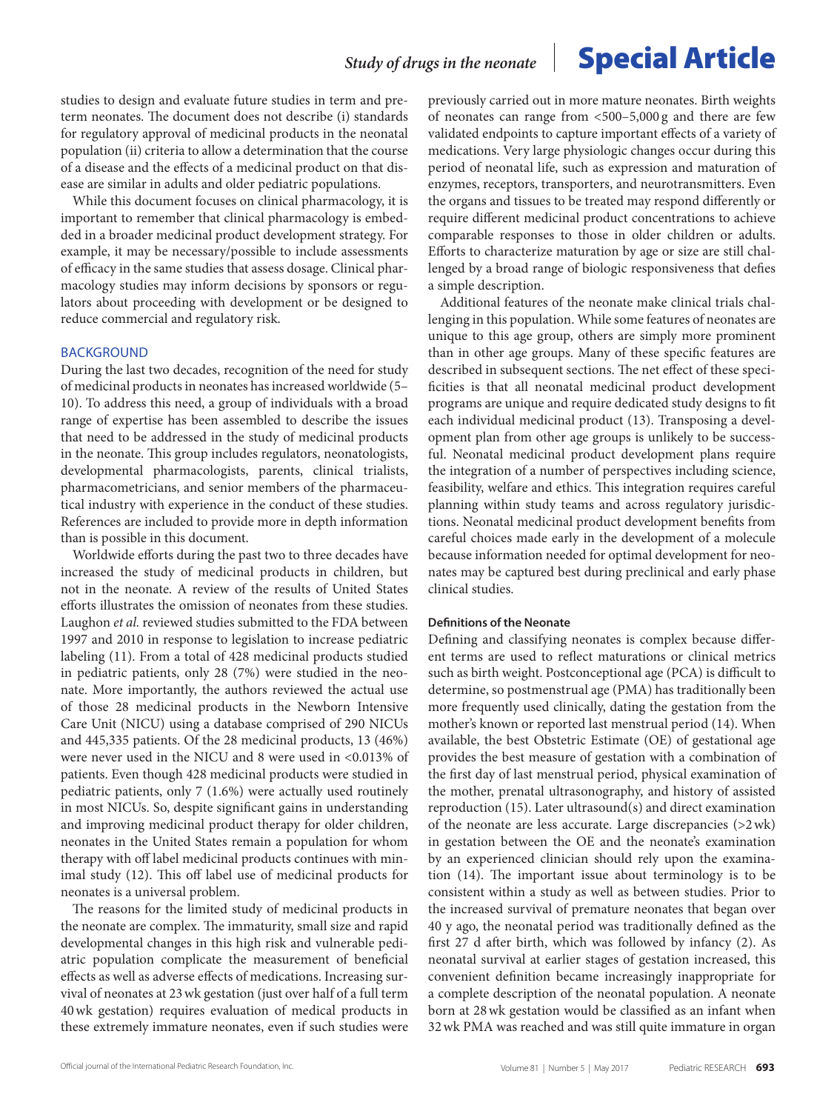studies to design and evaluate future studies in term and preterm neonates. The document does not describe (i) standards for regulatory approval of medicinal products in the neonatal population (ii) criteria to allow a determination that the course of a disease and the effects of a medicinal product on that disease are similar in adults and older pediatric populations.

While this document focuses on clinical pharmacology, it is important to remember that clinical pharmacology is embedded in a broader medicinal product development strategy. For example, it may be necessary/possible to include assessments of efficacy in the same studies that assess dosage. Clinical pharmacology studies may inform decisions by sponsors or regulators about proceeding with development or be designed to reduce commercial and regulatory risk.

#### BACKGROUND

During the last two decades, recognition of the need for study of medicinal products in neonates has increased worldwide (5– 10). To address this need, a group of individuals with a broad range of expertise has been assembled to describe the issues that need to be addressed in the study of medicinal products in the neonate. This group includes regulators, neonatologists, developmental pharmacologists, parents, clinical trialists, pharmacometricians, and senior members of the pharmaceutical industry with experience in the conduct of these studies. References are included to provide more in depth information than is possible in this document.

Worldwide efforts during the past two to three decades have increased the study of medicinal products in children, but not in the neonate. A review of the results of United States efforts illustrates the omission of neonates from these studies. Laughon *et al.* reviewed studies submitted to the FDA between 1997 and 2010 in response to legislation to increase pediatric labeling (11). From a total of 428 medicinal products studied in pediatric patients, only 28 (7%) were studied in the neonate. More importantly, the authors reviewed the actual use of those 28 medicinal products in the Newborn Intensive Care Unit (NICU) using a database comprised of 290 NICUs and 445,335 patients. Of the 28 medicinal products, 13 (46%) were never used in the NICU and 8 were used in <0.013% of patients. Even though 428 medicinal products were studied in pediatric patients, only 7 (1.6%) were actually used routinely in most NICUs. So, despite significant gains in understanding and improving medicinal product therapy for older children, neonates in the United States remain a population for whom therapy with off label medicinal products continues with minimal study (12). This off label use of medicinal products for neonates is a universal problem.

The reasons for the limited study of medicinal products in the neonate are complex. The immaturity, small size and rapid developmental changes in this high risk and vulnerable pediatric population complicate the measurement of beneficial effects as well as adverse effects of medications. Increasing survival of neonates at 23wk gestation (just over half of a full term 40wk gestation) requires evaluation of medical products in these extremely immature neonates, even if such studies were

previously carried out in more mature neonates. Birth weights of neonates can range from <500–5,000 g and there are few validated endpoints to capture important effects of a variety of medications. Very large physiologic changes occur during this period of neonatal life, such as expression and maturation of enzymes, receptors, transporters, and neurotransmitters. Even the organs and tissues to be treated may respond differently or require different medicinal product concentrations to achieve comparable responses to those in older children or adults. Efforts to characterize maturation by age or size are still challenged by a broad range of biologic responsiveness that defies a simple description.

Additional features of the neonate make clinical trials challenging in this population. While some features of neonates are unique to this age group, others are simply more prominent than in other age groups. Many of these specific features are described in subsequent sections. The net effect of these specificities is that all neonatal medicinal product development programs are unique and require dedicated study designs to fit each individual medicinal product (13). Transposing a development plan from other age groups is unlikely to be successful. Neonatal medicinal product development plans require the integration of a number of perspectives including science, feasibility, welfare and ethics. This integration requires careful planning within study teams and across regulatory jurisdictions. Neonatal medicinal product development benefits from careful choices made early in the development of a molecule because information needed for optimal development for neonates may be captured best during preclinical and early phase clinical studies.

#### **Definitions of the Neonate**

Defining and classifying neonates is complex because different terms are used to reflect maturations or clinical metrics such as birth weight. Postconceptional age (PCA) is difficult to determine, so postmenstrual age (PMA) has traditionally been more frequently used clinically, dating the gestation from the mother's known or reported last menstrual period (14). When available, the best Obstetric Estimate (OE) of gestational age provides the best measure of gestation with a combination of the first day of last menstrual period, physical examination of the mother, prenatal ultrasonography, and history of assisted reproduction (15). Later ultrasound(s) and direct examination of the neonate are less accurate. Large discrepancies (>2wk) in gestation between the OE and the neonate's examination by an experienced clinician should rely upon the examination (14). The important issue about terminology is to be consistent within a study as well as between studies. Prior to the increased survival of premature neonates that began over 40 y ago, the neonatal period was traditionally defined as the first 27 d after birth, which was followed by infancy (2). As neonatal survival at earlier stages of gestation increased, this convenient definition became increasingly inappropriate for a complete description of the neonatal population. A neonate born at 28wk gestation would be classified as an infant when 32wk PMA was reached and was still quite immature in organ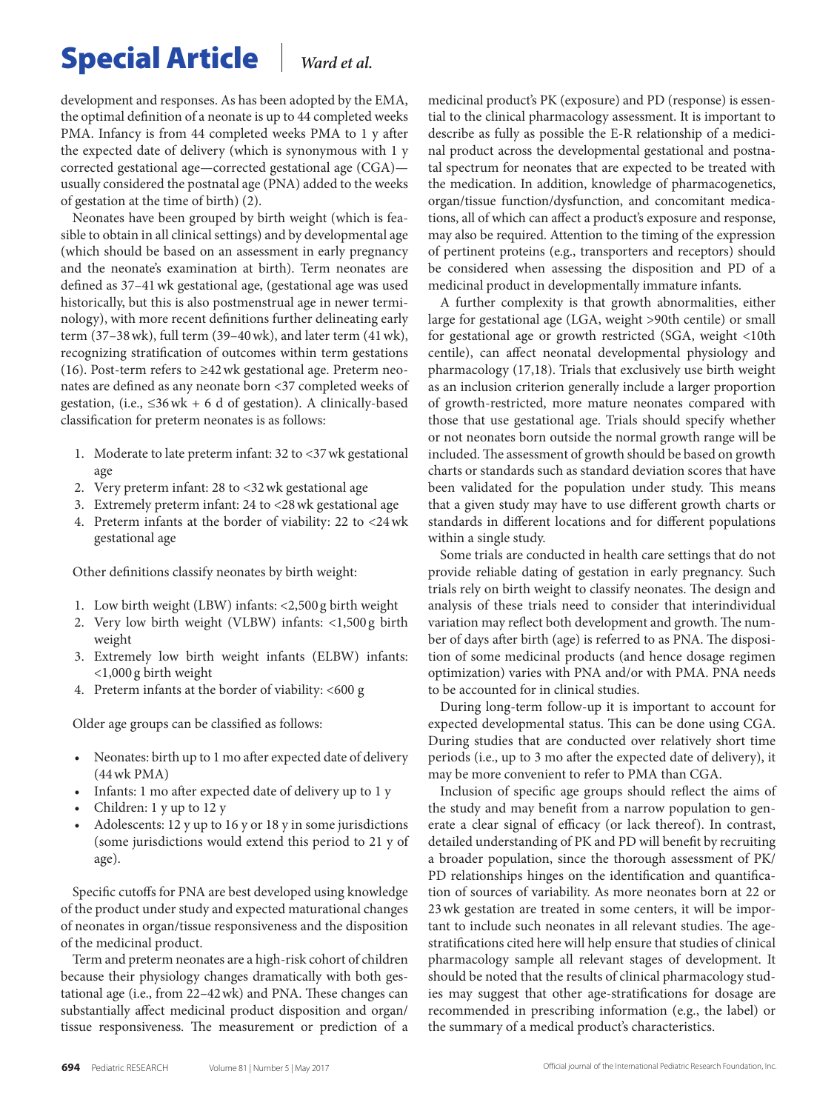development and responses. As has been adopted by the EMA, the optimal definition of a neonate is up to 44 completed weeks PMA. Infancy is from 44 completed weeks PMA to 1 y after the expected date of delivery (which is synonymous with 1 y corrected gestational age—corrected gestational age (CGA) usually considered the postnatal age (PNA) added to the weeks of gestation at the time of birth) (2).

Neonates have been grouped by birth weight (which is feasible to obtain in all clinical settings) and by developmental age (which should be based on an assessment in early pregnancy and the neonate's examination at birth). Term neonates are defined as 37–41wk gestational age, (gestational age was used historically, but this is also postmenstrual age in newer terminology), with more recent definitions further delineating early term (37–38wk), full term (39–40wk), and later term (41wk), recognizing stratification of outcomes within term gestations (16). Post-term refers to  $\geq$ 42 wk gestational age. Preterm neonates are defined as any neonate born <37 completed weeks of gestation, (i.e.,  $\leq 36$  wk + 6 d of gestation). A clinically-based classification for preterm neonates is as follows:

- 1. Moderate to late preterm infant: 32 to <37wk gestational age
- 2. Very preterm infant: 28 to <32wk gestational age
- 3. Extremely preterm infant: 24 to <28wk gestational age
- 4. Preterm infants at the border of viability: 22 to <24wk gestational age

Other definitions classify neonates by birth weight:

- 1. Low birth weight (LBW) infants: <2,500 g birth weight
- 2. Very low birth weight (VLBW) infants: <1,500 g birth weight
- 3. Extremely low birth weight infants (ELBW) infants: <1,000 g birth weight
- 4. Preterm infants at the border of viability: <600 g

Older age groups can be classified as follows:

- • Neonates: birth up to 1 mo after expected date of delivery (44wk PMA)
- Infants: 1 mo after expected date of delivery up to 1 y
- Children: 1 y up to 12 y
- Adolescents: 12 y up to 16 y or 18 y in some jurisdictions (some jurisdictions would extend this period to 21 y of age).

Specific cutoffs for PNA are best developed using knowledge of the product under study and expected maturational changes of neonates in organ/tissue responsiveness and the disposition of the medicinal product.

Term and preterm neonates are a high-risk cohort of children because their physiology changes dramatically with both gestational age (i.e., from 22–42wk) and PNA. These changes can substantially affect medicinal product disposition and organ/ tissue responsiveness. The measurement or prediction of a medicinal product's PK (exposure) and PD (response) is essential to the clinical pharmacology assessment. It is important to describe as fully as possible the E-R relationship of a medicinal product across the developmental gestational and postnatal spectrum for neonates that are expected to be treated with the medication. In addition, knowledge of pharmacogenetics, organ/tissue function/dysfunction, and concomitant medications, all of which can affect a product's exposure and response, may also be required. Attention to the timing of the expression of pertinent proteins (e.g., transporters and receptors) should be considered when assessing the disposition and PD of a medicinal product in developmentally immature infants.

A further complexity is that growth abnormalities, either large for gestational age (LGA, weight >90th centile) or small for gestational age or growth restricted (SGA, weight <10th centile), can affect neonatal developmental physiology and pharmacology (17,18). Trials that exclusively use birth weight as an inclusion criterion generally include a larger proportion of growth-restricted, more mature neonates compared with those that use gestational age. Trials should specify whether or not neonates born outside the normal growth range will be included. The assessment of growth should be based on growth charts or standards such as standard deviation scores that have been validated for the population under study. This means that a given study may have to use different growth charts or standards in different locations and for different populations within a single study.

Some trials are conducted in health care settings that do not provide reliable dating of gestation in early pregnancy. Such trials rely on birth weight to classify neonates. The design and analysis of these trials need to consider that interindividual variation may reflect both development and growth. The number of days after birth (age) is referred to as PNA. The disposition of some medicinal products (and hence dosage regimen optimization) varies with PNA and/or with PMA. PNA needs to be accounted for in clinical studies.

During long-term follow-up it is important to account for expected developmental status. This can be done using CGA. During studies that are conducted over relatively short time periods (i.e., up to 3 mo after the expected date of delivery), it may be more convenient to refer to PMA than CGA.

Inclusion of specific age groups should reflect the aims of the study and may benefit from a narrow population to generate a clear signal of efficacy (or lack thereof). In contrast, detailed understanding of PK and PD will benefit by recruiting a broader population, since the thorough assessment of PK/ PD relationships hinges on the identification and quantification of sources of variability. As more neonates born at 22 or 23wk gestation are treated in some centers, it will be important to include such neonates in all relevant studies. The agestratifications cited here will help ensure that studies of clinical pharmacology sample all relevant stages of development. It should be noted that the results of clinical pharmacology studies may suggest that other age-stratifications for dosage are recommended in prescribing information (e.g., the label) or the summary of a medical product's characteristics.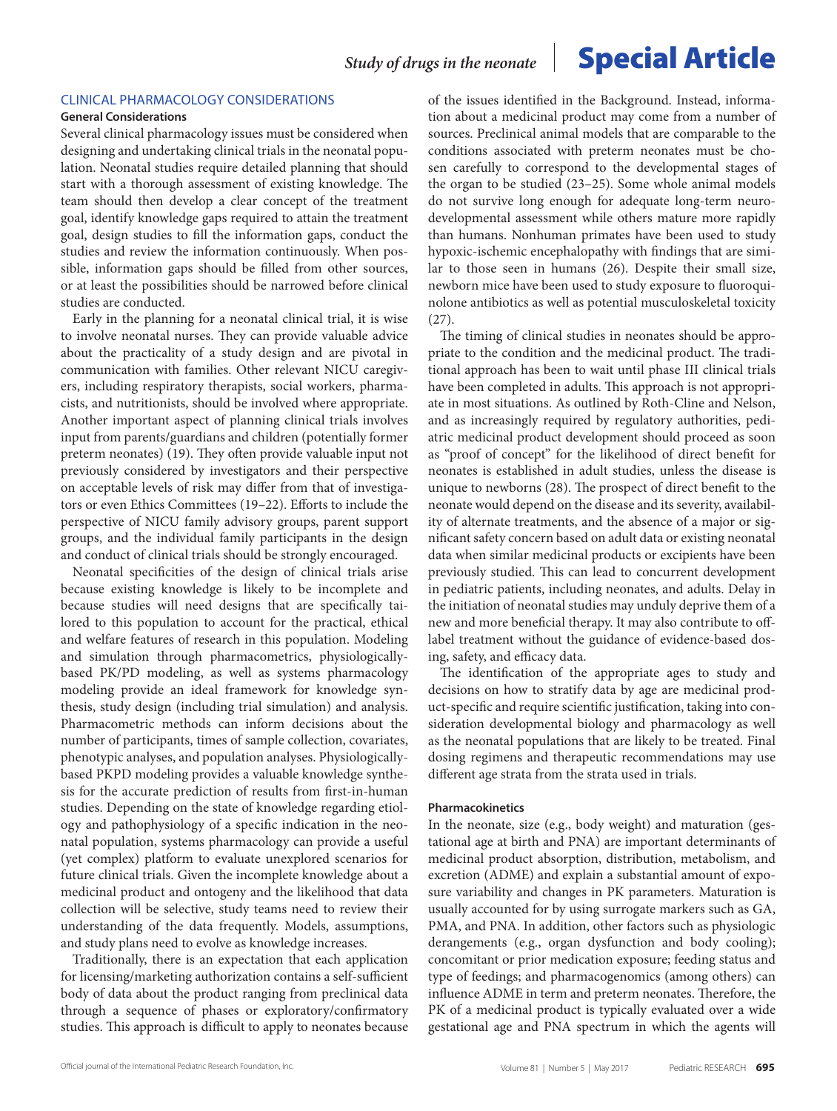#### CLINICAL PHARMACOLOGY CONSIDERATIONS

#### **General Considerations**

Several clinical pharmacology issues must be considered when designing and undertaking clinical trials in the neonatal population. Neonatal studies require detailed planning that should start with a thorough assessment of existing knowledge. The team should then develop a clear concept of the treatment goal, identify knowledge gaps required to attain the treatment goal, design studies to fill the information gaps, conduct the studies and review the information continuously. When possible, information gaps should be filled from other sources, or at least the possibilities should be narrowed before clinical studies are conducted.

Early in the planning for a neonatal clinical trial, it is wise to involve neonatal nurses. They can provide valuable advice about the practicality of a study design and are pivotal in communication with families. Other relevant NICU caregivers, including respiratory therapists, social workers, pharmacists, and nutritionists, should be involved where appropriate. Another important aspect of planning clinical trials involves input from parents/guardians and children (potentially former preterm neonates) (19). They often provide valuable input not previously considered by investigators and their perspective on acceptable levels of risk may differ from that of investigators or even Ethics Committees (19–22). Efforts to include the perspective of NICU family advisory groups, parent support groups, and the individual family participants in the design and conduct of clinical trials should be strongly encouraged.

Neonatal specificities of the design of clinical trials arise because existing knowledge is likely to be incomplete and because studies will need designs that are specifically tailored to this population to account for the practical, ethical and welfare features of research in this population. Modeling and simulation through pharmacometrics, physiologicallybased PK/PD modeling, as well as systems pharmacology modeling provide an ideal framework for knowledge synthesis, study design (including trial simulation) and analysis. Pharmacometric methods can inform decisions about the number of participants, times of sample collection, covariates, phenotypic analyses, and population analyses. Physiologicallybased PKPD modeling provides a valuable knowledge synthesis for the accurate prediction of results from first-in-human studies. Depending on the state of knowledge regarding etiology and pathophysiology of a specific indication in the neonatal population, systems pharmacology can provide a useful (yet complex) platform to evaluate unexplored scenarios for future clinical trials. Given the incomplete knowledge about a medicinal product and ontogeny and the likelihood that data collection will be selective, study teams need to review their understanding of the data frequently. Models, assumptions, and study plans need to evolve as knowledge increases.

Traditionally, there is an expectation that each application for licensing/marketing authorization contains a self-sufficient body of data about the product ranging from preclinical data through a sequence of phases or exploratory/confirmatory studies. This approach is difficult to apply to neonates because of the issues identified in the Background. Instead, information about a medicinal product may come from a number of sources. Preclinical animal models that are comparable to the conditions associated with preterm neonates must be chosen carefully to correspond to the developmental stages of the organ to be studied (23–25). Some whole animal models do not survive long enough for adequate long-term neurodevelopmental assessment while others mature more rapidly than humans. Nonhuman primates have been used to study hypoxic-ischemic encephalopathy with findings that are similar to those seen in humans (26). Despite their small size, newborn mice have been used to study exposure to fluoroquinolone antibiotics as well as potential musculoskeletal toxicity (27).

The timing of clinical studies in neonates should be appropriate to the condition and the medicinal product. The traditional approach has been to wait until phase III clinical trials have been completed in adults. This approach is not appropriate in most situations. As outlined by Roth-Cline and Nelson, and as increasingly required by regulatory authorities, pediatric medicinal product development should proceed as soon as "proof of concept" for the likelihood of direct benefit for neonates is established in adult studies, unless the disease is unique to newborns (28). The prospect of direct benefit to the neonate would depend on the disease and its severity, availability of alternate treatments, and the absence of a major or significant safety concern based on adult data or existing neonatal data when similar medicinal products or excipients have been previously studied. This can lead to concurrent development in pediatric patients, including neonates, and adults. Delay in the initiation of neonatal studies may unduly deprive them of a new and more beneficial therapy. It may also contribute to offlabel treatment without the guidance of evidence-based dosing, safety, and efficacy data.

The identification of the appropriate ages to study and decisions on how to stratify data by age are medicinal product-specific and require scientific justification, taking into consideration developmental biology and pharmacology as well as the neonatal populations that are likely to be treated. Final dosing regimens and therapeutic recommendations may use different age strata from the strata used in trials.

#### **Pharmacokinetics**

In the neonate, size (e.g., body weight) and maturation (gestational age at birth and PNA) are important determinants of medicinal product absorption, distribution, metabolism, and excretion (ADME) and explain a substantial amount of exposure variability and changes in PK parameters. Maturation is usually accounted for by using surrogate markers such as GA, PMA, and PNA. In addition, other factors such as physiologic derangements (e.g., organ dysfunction and body cooling); concomitant or prior medication exposure; feeding status and type of feedings; and pharmacogenomics (among others) can influence ADME in term and preterm neonates. Therefore, the PK of a medicinal product is typically evaluated over a wide gestational age and PNA spectrum in which the agents will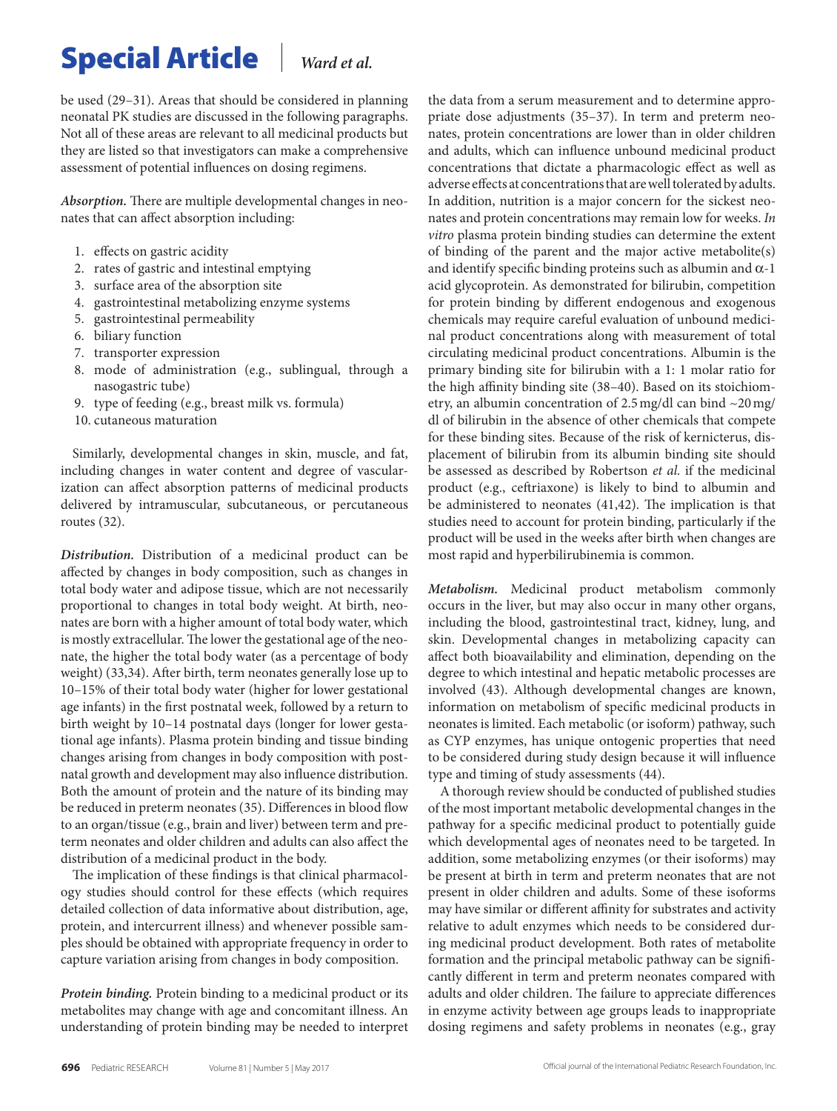be used (29–31). Areas that should be considered in planning neonatal PK studies are discussed in the following paragraphs. Not all of these areas are relevant to all medicinal products but they are listed so that investigators can make a comprehensive assessment of potential influences on dosing regimens.

*Absorption.* There are multiple developmental changes in neonates that can affect absorption including:

- 1. effects on gastric acidity
- 2. rates of gastric and intestinal emptying
- 3. surface area of the absorption site
- 4. gastrointestinal metabolizing enzyme systems
- 5. gastrointestinal permeability
- 6. biliary function
- 7. transporter expression
- 8. mode of administration (e.g., sublingual, through a nasogastric tube)
- 9. type of feeding (e.g., breast milk vs. formula)
- 10. cutaneous maturation

Similarly, developmental changes in skin, muscle, and fat, including changes in water content and degree of vascularization can affect absorption patterns of medicinal products delivered by intramuscular, subcutaneous, or percutaneous routes (32).

*Distribution.* Distribution of a medicinal product can be affected by changes in body composition, such as changes in total body water and adipose tissue, which are not necessarily proportional to changes in total body weight. At birth, neonates are born with a higher amount of total body water, which is mostly extracellular. The lower the gestational age of the neonate, the higher the total body water (as a percentage of body weight) (33,34). After birth, term neonates generally lose up to 10–15% of their total body water (higher for lower gestational age infants) in the first postnatal week, followed by a return to birth weight by 10–14 postnatal days (longer for lower gestational age infants). Plasma protein binding and tissue binding changes arising from changes in body composition with postnatal growth and development may also influence distribution. Both the amount of protein and the nature of its binding may be reduced in preterm neonates (35). Differences in blood flow to an organ/tissue (e.g., brain and liver) between term and preterm neonates and older children and adults can also affect the distribution of a medicinal product in the body.

The implication of these findings is that clinical pharmacology studies should control for these effects (which requires detailed collection of data informative about distribution, age, protein, and intercurrent illness) and whenever possible samples should be obtained with appropriate frequency in order to capture variation arising from changes in body composition.

*Protein binding.* Protein binding to a medicinal product or its metabolites may change with age and concomitant illness. An understanding of protein binding may be needed to interpret

the data from a serum measurement and to determine appropriate dose adjustments (35–37). In term and preterm neonates, protein concentrations are lower than in older children and adults, which can influence unbound medicinal product concentrations that dictate a pharmacologic effect as well as adverse effects at concentrations that are well tolerated by adults. In addition, nutrition is a major concern for the sickest neonates and protein concentrations may remain low for weeks. *In vitro* plasma protein binding studies can determine the extent of binding of the parent and the major active metabolite(s) and identify specific binding proteins such as albumin and  $\alpha$ -1 acid glycoprotein. As demonstrated for bilirubin, competition for protein binding by different endogenous and exogenous chemicals may require careful evaluation of unbound medicinal product concentrations along with measurement of total circulating medicinal product concentrations. Albumin is the primary binding site for bilirubin with a 1: 1 molar ratio for the high affinity binding site (38–40). Based on its stoichiometry, an albumin concentration of 2.5mg/dl can bind ~20mg/ dl of bilirubin in the absence of other chemicals that compete for these binding sites. Because of the risk of kernicterus, displacement of bilirubin from its albumin binding site should be assessed as described by Robertson *et al.* if the medicinal product (e.g., ceftriaxone) is likely to bind to albumin and be administered to neonates (41,42). The implication is that studies need to account for protein binding, particularly if the product will be used in the weeks after birth when changes are most rapid and hyperbilirubinemia is common.

*Metabolism.* Medicinal product metabolism commonly occurs in the liver, but may also occur in many other organs, including the blood, gastrointestinal tract, kidney, lung, and skin. Developmental changes in metabolizing capacity can affect both bioavailability and elimination, depending on the degree to which intestinal and hepatic metabolic processes are involved (43). Although developmental changes are known, information on metabolism of specific medicinal products in neonates is limited. Each metabolic (or isoform) pathway, such as CYP enzymes, has unique ontogenic properties that need to be considered during study design because it will influence type and timing of study assessments (44).

A thorough review should be conducted of published studies of the most important metabolic developmental changes in the pathway for a specific medicinal product to potentially guide which developmental ages of neonates need to be targeted. In addition, some metabolizing enzymes (or their isoforms) may be present at birth in term and preterm neonates that are not present in older children and adults. Some of these isoforms may have similar or different affinity for substrates and activity relative to adult enzymes which needs to be considered during medicinal product development. Both rates of metabolite formation and the principal metabolic pathway can be significantly different in term and preterm neonates compared with adults and older children. The failure to appreciate differences in enzyme activity between age groups leads to inappropriate dosing regimens and safety problems in neonates (e.g., gray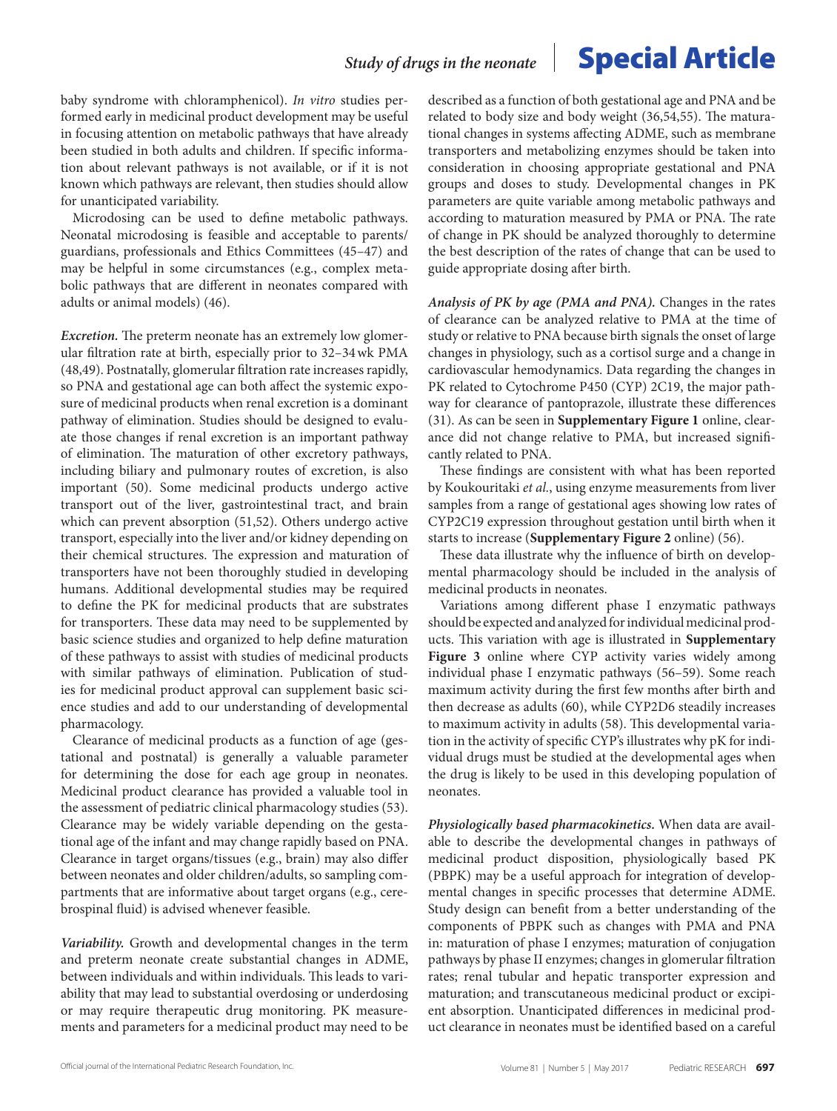baby syndrome with chloramphenicol). *In vitro* studies performed early in medicinal product development may be useful in focusing attention on metabolic pathways that have already been studied in both adults and children. If specific information about relevant pathways is not available, or if it is not known which pathways are relevant, then studies should allow for unanticipated variability.

Microdosing can be used to define metabolic pathways. Neonatal microdosing is feasible and acceptable to parents/ guardians, professionals and Ethics Committees (45–47) and may be helpful in some circumstances (e.g., complex metabolic pathways that are different in neonates compared with adults or animal models) (46).

*Excretion.* The preterm neonate has an extremely low glomerular filtration rate at birth, especially prior to 32–34wk PMA (48,49). Postnatally, glomerular filtration rate increases rapidly, so PNA and gestational age can both affect the systemic exposure of medicinal products when renal excretion is a dominant pathway of elimination. Studies should be designed to evaluate those changes if renal excretion is an important pathway of elimination. The maturation of other excretory pathways, including biliary and pulmonary routes of excretion, is also important (50). Some medicinal products undergo active transport out of the liver, gastrointestinal tract, and brain which can prevent absorption (51,52). Others undergo active transport, especially into the liver and/or kidney depending on their chemical structures. The expression and maturation of transporters have not been thoroughly studied in developing humans. Additional developmental studies may be required to define the PK for medicinal products that are substrates for transporters. These data may need to be supplemented by basic science studies and organized to help define maturation of these pathways to assist with studies of medicinal products with similar pathways of elimination. Publication of studies for medicinal product approval can supplement basic science studies and add to our understanding of developmental pharmacology.

Clearance of medicinal products as a function of age (gestational and postnatal) is generally a valuable parameter for determining the dose for each age group in neonates. Medicinal product clearance has provided a valuable tool in the assessment of pediatric clinical pharmacology studies (53). Clearance may be widely variable depending on the gestational age of the infant and may change rapidly based on PNA. Clearance in target organs/tissues (e.g., brain) may also differ between neonates and older children/adults, so sampling compartments that are informative about target organs (e.g., cerebrospinal fluid) is advised whenever feasible.

*Variability.* Growth and developmental changes in the term and preterm neonate create substantial changes in ADME, between individuals and within individuals. This leads to variability that may lead to substantial overdosing or underdosing or may require therapeutic drug monitoring. PK measurements and parameters for a medicinal product may need to be

described as a function of both gestational age and PNA and be related to body size and body weight (36,54,55). The maturational changes in systems affecting ADME, such as membrane transporters and metabolizing enzymes should be taken into consideration in choosing appropriate gestational and PNA groups and doses to study. Developmental changes in PK parameters are quite variable among metabolic pathways and according to maturation measured by PMA or PNA. The rate of change in PK should be analyzed thoroughly to determine the best description of the rates of change that can be used to guide appropriate dosing after birth.

*Analysis of PK by age (PMA and PNA).* Changes in the rates of clearance can be analyzed relative to PMA at the time of study or relative to PNA because birth signals the onset of large changes in physiology, such as a cortisol surge and a change in cardiovascular hemodynamics. Data regarding the changes in PK related to Cytochrome P450 (CYP) 2C19, the major pathway for clearance of pantoprazole, illustrate these differences (31). As can be seen in **Supplementary Figure 1** online, clearance did not change relative to PMA, but increased significantly related to PNA.

These findings are consistent with what has been reported by Koukouritaki *et al.*, using enzyme measurements from liver samples from a range of gestational ages showing low rates of CYP2C19 expression throughout gestation until birth when it starts to increase (**Supplementary Figure 2** online) (56).

These data illustrate why the influence of birth on developmental pharmacology should be included in the analysis of medicinal products in neonates.

Variations among different phase I enzymatic pathways should be expected and analyzed for individual medicinal products. This variation with age is illustrated in **Supplementary Figure 3** online where CYP activity varies widely among individual phase I enzymatic pathways (56–59). Some reach maximum activity during the first few months after birth and then decrease as adults (60), while CYP2D6 steadily increases to maximum activity in adults (58). This developmental variation in the activity of specific CYP's illustrates why pK for individual drugs must be studied at the developmental ages when the drug is likely to be used in this developing population of neonates.

*Physiologically based pharmacokinetics.* When data are available to describe the developmental changes in pathways of medicinal product disposition, physiologically based PK (PBPK) may be a useful approach for integration of developmental changes in specific processes that determine ADME. Study design can benefit from a better understanding of the components of PBPK such as changes with PMA and PNA in: maturation of phase I enzymes; maturation of conjugation pathways by phase II enzymes; changes in glomerular filtration rates; renal tubular and hepatic transporter expression and maturation; and transcutaneous medicinal product or excipient absorption. Unanticipated differences in medicinal product clearance in neonates must be identified based on a careful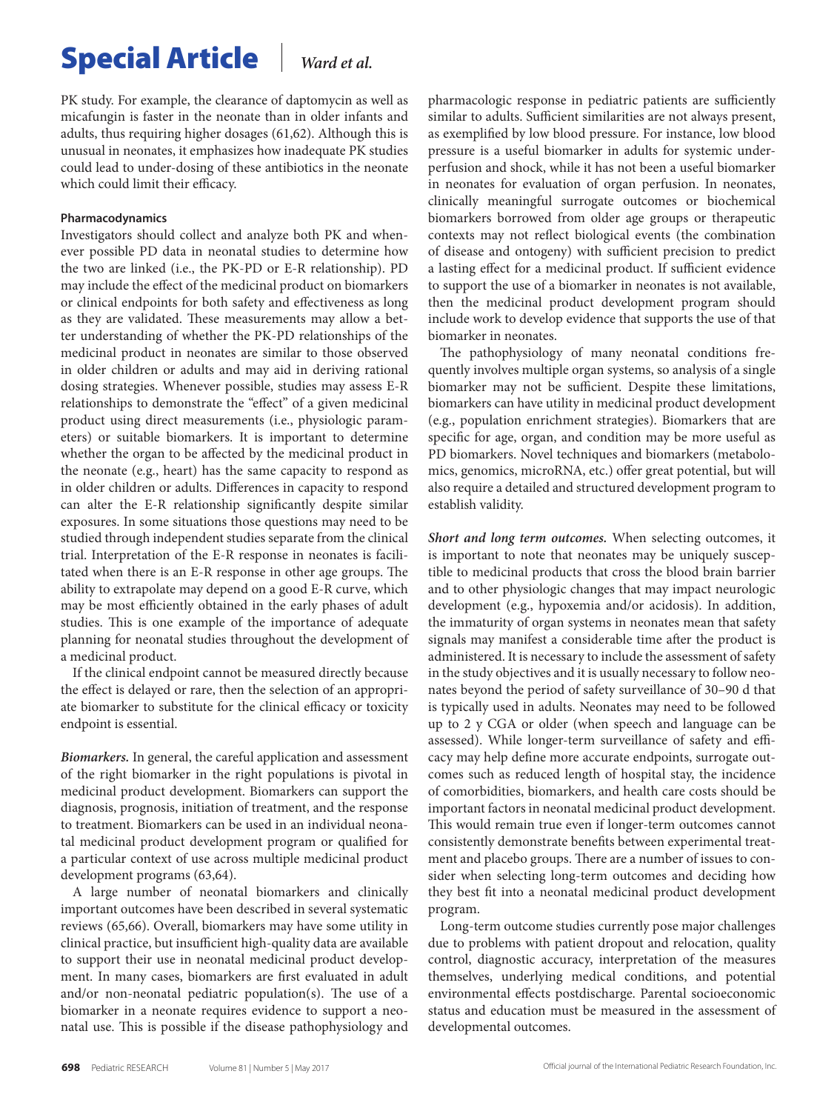PK study. For example, the clearance of daptomycin as well as micafungin is faster in the neonate than in older infants and adults, thus requiring higher dosages (61,62). Although this is unusual in neonates, it emphasizes how inadequate PK studies could lead to under-dosing of these antibiotics in the neonate which could limit their efficacy.

### **Pharmacodynamics**

Investigators should collect and analyze both PK and whenever possible PD data in neonatal studies to determine how the two are linked (i.e., the PK-PD or E-R relationship). PD may include the effect of the medicinal product on biomarkers or clinical endpoints for both safety and effectiveness as long as they are validated. These measurements may allow a better understanding of whether the PK-PD relationships of the medicinal product in neonates are similar to those observed in older children or adults and may aid in deriving rational dosing strategies. Whenever possible, studies may assess E-R relationships to demonstrate the "effect" of a given medicinal product using direct measurements (i.e., physiologic parameters) or suitable biomarkers. It is important to determine whether the organ to be affected by the medicinal product in the neonate (e.g., heart) has the same capacity to respond as in older children or adults. Differences in capacity to respond can alter the E-R relationship significantly despite similar exposures. In some situations those questions may need to be studied through independent studies separate from the clinical trial. Interpretation of the E-R response in neonates is facilitated when there is an E-R response in other age groups. The ability to extrapolate may depend on a good E-R curve, which may be most efficiently obtained in the early phases of adult studies. This is one example of the importance of adequate planning for neonatal studies throughout the development of a medicinal product.

If the clinical endpoint cannot be measured directly because the effect is delayed or rare, then the selection of an appropriate biomarker to substitute for the clinical efficacy or toxicity endpoint is essential.

*Biomarkers.* In general, the careful application and assessment of the right biomarker in the right populations is pivotal in medicinal product development. Biomarkers can support the diagnosis, prognosis, initiation of treatment, and the response to treatment. Biomarkers can be used in an individual neonatal medicinal product development program or qualified for a particular context of use across multiple medicinal product development programs (63,64).

A large number of neonatal biomarkers and clinically important outcomes have been described in several systematic reviews (65,66). Overall, biomarkers may have some utility in clinical practice, but insufficient high-quality data are available to support their use in neonatal medicinal product development. In many cases, biomarkers are first evaluated in adult and/or non-neonatal pediatric population(s). The use of a biomarker in a neonate requires evidence to support a neonatal use. This is possible if the disease pathophysiology and

pharmacologic response in pediatric patients are sufficiently similar to adults. Sufficient similarities are not always present, as exemplified by low blood pressure. For instance, low blood pressure is a useful biomarker in adults for systemic underperfusion and shock, while it has not been a useful biomarker in neonates for evaluation of organ perfusion. In neonates, clinically meaningful surrogate outcomes or biochemical biomarkers borrowed from older age groups or therapeutic contexts may not reflect biological events (the combination of disease and ontogeny) with sufficient precision to predict a lasting effect for a medicinal product. If sufficient evidence to support the use of a biomarker in neonates is not available, then the medicinal product development program should include work to develop evidence that supports the use of that biomarker in neonates.

The pathophysiology of many neonatal conditions frequently involves multiple organ systems, so analysis of a single biomarker may not be sufficient. Despite these limitations, biomarkers can have utility in medicinal product development (e.g., population enrichment strategies). Biomarkers that are specific for age, organ, and condition may be more useful as PD biomarkers. Novel techniques and biomarkers (metabolomics, genomics, microRNA, etc.) offer great potential, but will also require a detailed and structured development program to establish validity.

*Short and long term outcomes.* When selecting outcomes, it is important to note that neonates may be uniquely susceptible to medicinal products that cross the blood brain barrier and to other physiologic changes that may impact neurologic development (e.g., hypoxemia and/or acidosis). In addition, the immaturity of organ systems in neonates mean that safety signals may manifest a considerable time after the product is administered. It is necessary to include the assessment of safety in the study objectives and it is usually necessary to follow neonates beyond the period of safety surveillance of 30–90 d that is typically used in adults. Neonates may need to be followed up to 2 y CGA or older (when speech and language can be assessed). While longer-term surveillance of safety and efficacy may help define more accurate endpoints, surrogate outcomes such as reduced length of hospital stay, the incidence of comorbidities, biomarkers, and health care costs should be important factors in neonatal medicinal product development. This would remain true even if longer-term outcomes cannot consistently demonstrate benefits between experimental treatment and placebo groups. There are a number of issues to consider when selecting long-term outcomes and deciding how they best fit into a neonatal medicinal product development program.

Long-term outcome studies currently pose major challenges due to problems with patient dropout and relocation, quality control, diagnostic accuracy, interpretation of the measures themselves, underlying medical conditions, and potential environmental effects postdischarge. Parental socioeconomic status and education must be measured in the assessment of developmental outcomes.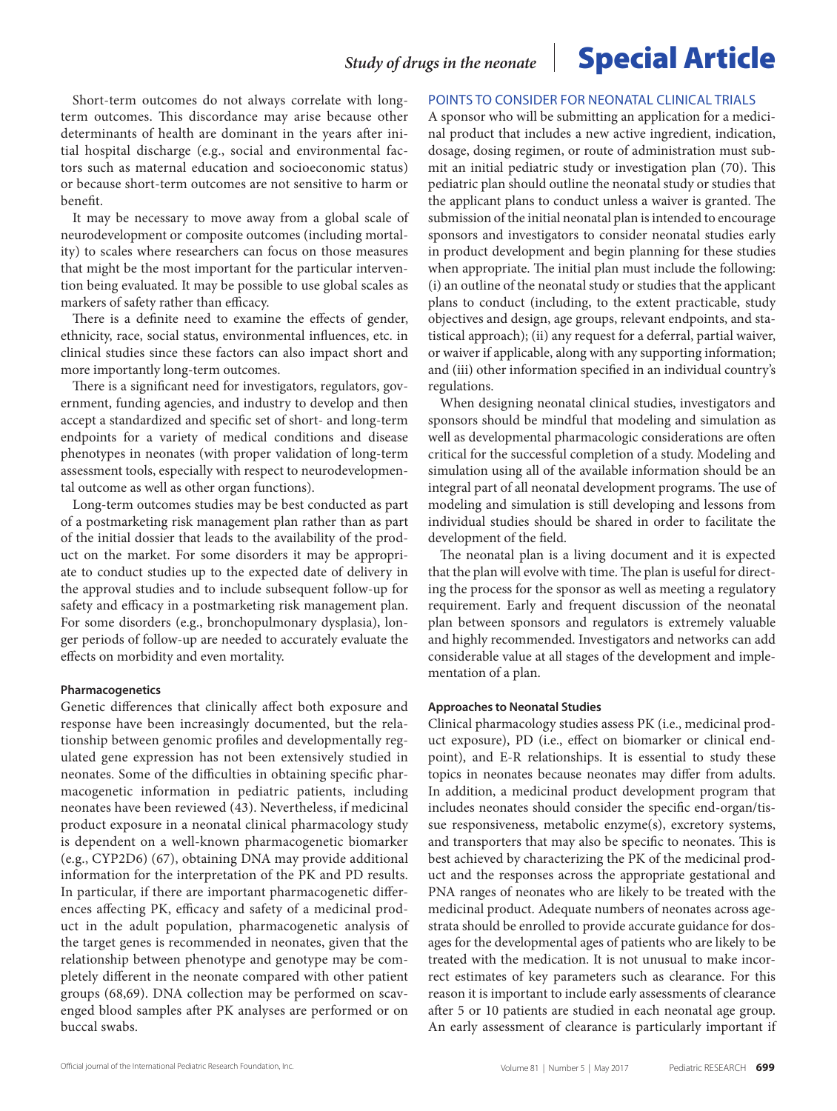Short-term outcomes do not always correlate with longterm outcomes. This discordance may arise because other determinants of health are dominant in the years after initial hospital discharge (e.g., social and environmental factors such as maternal education and socioeconomic status) or because short-term outcomes are not sensitive to harm or benefit.

It may be necessary to move away from a global scale of neurodevelopment or composite outcomes (including mortality) to scales where researchers can focus on those measures that might be the most important for the particular intervention being evaluated. It may be possible to use global scales as markers of safety rather than efficacy.

There is a definite need to examine the effects of gender, ethnicity, race, social status, environmental influences, etc. in clinical studies since these factors can also impact short and more importantly long-term outcomes.

There is a significant need for investigators, regulators, government, funding agencies, and industry to develop and then accept a standardized and specific set of short- and long-term endpoints for a variety of medical conditions and disease phenotypes in neonates (with proper validation of long-term assessment tools, especially with respect to neurodevelopmental outcome as well as other organ functions).

Long-term outcomes studies may be best conducted as part of a postmarketing risk management plan rather than as part of the initial dossier that leads to the availability of the product on the market. For some disorders it may be appropriate to conduct studies up to the expected date of delivery in the approval studies and to include subsequent follow-up for safety and efficacy in a postmarketing risk management plan. For some disorders (e.g., bronchopulmonary dysplasia), longer periods of follow-up are needed to accurately evaluate the effects on morbidity and even mortality.

#### **Pharmacogenetics**

Genetic differences that clinically affect both exposure and response have been increasingly documented, but the relationship between genomic profiles and developmentally regulated gene expression has not been extensively studied in neonates. Some of the difficulties in obtaining specific pharmacogenetic information in pediatric patients, including neonates have been reviewed (43). Nevertheless, if medicinal product exposure in a neonatal clinical pharmacology study is dependent on a well-known pharmacogenetic biomarker (e.g., CYP2D6) (67), obtaining DNA may provide additional information for the interpretation of the PK and PD results. In particular, if there are important pharmacogenetic differences affecting PK, efficacy and safety of a medicinal product in the adult population, pharmacogenetic analysis of the target genes is recommended in neonates, given that the relationship between phenotype and genotype may be completely different in the neonate compared with other patient groups (68,69). DNA collection may be performed on scavenged blood samples after PK analyses are performed or on buccal swabs.

### POINTS TO CONSIDER FOR NEONATAL CLINICAL TRIALS

A sponsor who will be submitting an application for a medicinal product that includes a new active ingredient, indication, dosage, dosing regimen, or route of administration must submit an initial pediatric study or investigation plan (70). This pediatric plan should outline the neonatal study or studies that the applicant plans to conduct unless a waiver is granted. The submission of the initial neonatal plan is intended to encourage sponsors and investigators to consider neonatal studies early in product development and begin planning for these studies when appropriate. The initial plan must include the following: (i) an outline of the neonatal study or studies that the applicant plans to conduct (including, to the extent practicable, study objectives and design, age groups, relevant endpoints, and statistical approach); (ii) any request for a deferral, partial waiver, or waiver if applicable, along with any supporting information; and (iii) other information specified in an individual country's regulations.

When designing neonatal clinical studies, investigators and sponsors should be mindful that modeling and simulation as well as developmental pharmacologic considerations are often critical for the successful completion of a study. Modeling and simulation using all of the available information should be an integral part of all neonatal development programs. The use of modeling and simulation is still developing and lessons from individual studies should be shared in order to facilitate the development of the field.

The neonatal plan is a living document and it is expected that the plan will evolve with time. The plan is useful for directing the process for the sponsor as well as meeting a regulatory requirement. Early and frequent discussion of the neonatal plan between sponsors and regulators is extremely valuable and highly recommended. Investigators and networks can add considerable value at all stages of the development and implementation of a plan.

#### **Approaches to Neonatal Studies**

Clinical pharmacology studies assess PK (i.e., medicinal product exposure), PD (i.e., effect on biomarker or clinical endpoint), and E-R relationships. It is essential to study these topics in neonates because neonates may differ from adults. In addition, a medicinal product development program that includes neonates should consider the specific end-organ/tissue responsiveness, metabolic enzyme(s), excretory systems, and transporters that may also be specific to neonates. This is best achieved by characterizing the PK of the medicinal product and the responses across the appropriate gestational and PNA ranges of neonates who are likely to be treated with the medicinal product. Adequate numbers of neonates across agestrata should be enrolled to provide accurate guidance for dosages for the developmental ages of patients who are likely to be treated with the medication. It is not unusual to make incorrect estimates of key parameters such as clearance. For this reason it is important to include early assessments of clearance after 5 or 10 patients are studied in each neonatal age group. An early assessment of clearance is particularly important if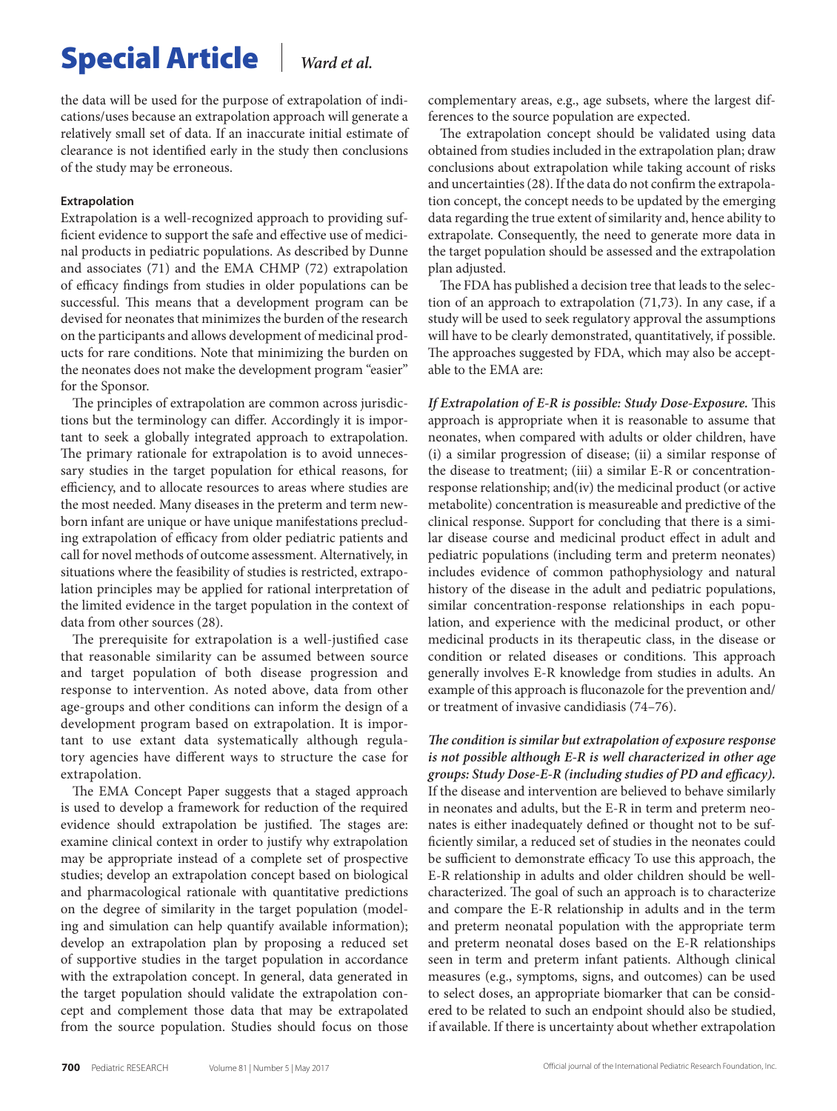the data will be used for the purpose of extrapolation of indications/uses because an extrapolation approach will generate a relatively small set of data. If an inaccurate initial estimate of clearance is not identified early in the study then conclusions of the study may be erroneous.

### **Extrapolation**

Extrapolation is a well-recognized approach to providing sufficient evidence to support the safe and effective use of medicinal products in pediatric populations. As described by Dunne and associates (71) and the EMA CHMP (72) extrapolation of efficacy findings from studies in older populations can be successful. This means that a development program can be devised for neonates that minimizes the burden of the research on the participants and allows development of medicinal products for rare conditions. Note that minimizing the burden on the neonates does not make the development program "easier" for the Sponsor.

The principles of extrapolation are common across jurisdictions but the terminology can differ. Accordingly it is important to seek a globally integrated approach to extrapolation. The primary rationale for extrapolation is to avoid unnecessary studies in the target population for ethical reasons, for efficiency, and to allocate resources to areas where studies are the most needed. Many diseases in the preterm and term newborn infant are unique or have unique manifestations precluding extrapolation of efficacy from older pediatric patients and call for novel methods of outcome assessment. Alternatively, in situations where the feasibility of studies is restricted, extrapolation principles may be applied for rational interpretation of the limited evidence in the target population in the context of data from other sources (28).

The prerequisite for extrapolation is a well-justified case that reasonable similarity can be assumed between source and target population of both disease progression and response to intervention. As noted above, data from other age-groups and other conditions can inform the design of a development program based on extrapolation. It is important to use extant data systematically although regulatory agencies have different ways to structure the case for extrapolation.

The EMA Concept Paper suggests that a staged approach is used to develop a framework for reduction of the required evidence should extrapolation be justified. The stages are: examine clinical context in order to justify why extrapolation may be appropriate instead of a complete set of prospective studies; develop an extrapolation concept based on biological and pharmacological rationale with quantitative predictions on the degree of similarity in the target population (modeling and simulation can help quantify available information); develop an extrapolation plan by proposing a reduced set of supportive studies in the target population in accordance with the extrapolation concept. In general, data generated in the target population should validate the extrapolation concept and complement those data that may be extrapolated from the source population. Studies should focus on those complementary areas, e.g., age subsets, where the largest differences to the source population are expected.

The extrapolation concept should be validated using data obtained from studies included in the extrapolation plan; draw conclusions about extrapolation while taking account of risks and uncertainties (28). If the data do not confirm the extrapolation concept, the concept needs to be updated by the emerging data regarding the true extent of similarity and, hence ability to extrapolate. Consequently, the need to generate more data in the target population should be assessed and the extrapolation plan adjusted.

The FDA has published a decision tree that leads to the selection of an approach to extrapolation (71,73). In any case, if a study will be used to seek regulatory approval the assumptions will have to be clearly demonstrated, quantitatively, if possible. The approaches suggested by FDA, which may also be acceptable to the EMA are:

*If Extrapolation of E-R is possible: Study Dose-Exposure.* This approach is appropriate when it is reasonable to assume that neonates, when compared with adults or older children, have (i) a similar progression of disease; (ii) a similar response of the disease to treatment; (iii) a similar E-R or concentrationresponse relationship; and(iv) the medicinal product (or active metabolite) concentration is measureable and predictive of the clinical response. Support for concluding that there is a similar disease course and medicinal product effect in adult and pediatric populations (including term and preterm neonates) includes evidence of common pathophysiology and natural history of the disease in the adult and pediatric populations, similar concentration-response relationships in each population, and experience with the medicinal product, or other medicinal products in its therapeutic class, in the disease or condition or related diseases or conditions. This approach generally involves E-R knowledge from studies in adults. An example of this approach is fluconazole for the prevention and/ or treatment of invasive candidiasis (74–76).

*The condition is similar but extrapolation of exposure response is not possible although E-R is well characterized in other age groups: Study Dose-E-R (including studies of PD and efficacy).* If the disease and intervention are believed to behave similarly in neonates and adults, but the E-R in term and preterm neonates is either inadequately defined or thought not to be sufficiently similar, a reduced set of studies in the neonates could be sufficient to demonstrate efficacy To use this approach, the E-R relationship in adults and older children should be wellcharacterized. The goal of such an approach is to characterize and compare the E-R relationship in adults and in the term and preterm neonatal population with the appropriate term and preterm neonatal doses based on the E-R relationships seen in term and preterm infant patients. Although clinical measures (e.g., symptoms, signs, and outcomes) can be used to select doses, an appropriate biomarker that can be considered to be related to such an endpoint should also be studied, if available. If there is uncertainty about whether extrapolation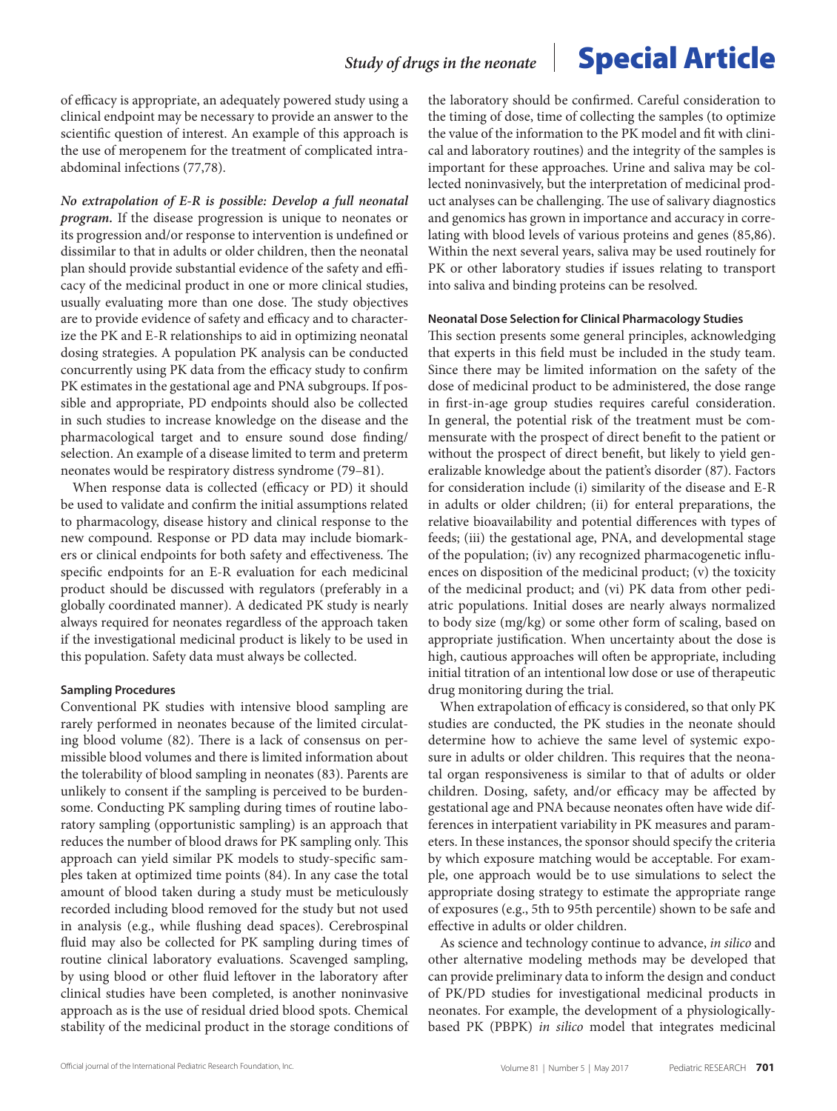of efficacy is appropriate, an adequately powered study using a clinical endpoint may be necessary to provide an answer to the scientific question of interest. An example of this approach is the use of meropenem for the treatment of complicated intraabdominal infections (77,78).

*No extrapolation of E-R is possible: Develop a full neonatal program.* If the disease progression is unique to neonates or its progression and/or response to intervention is undefined or dissimilar to that in adults or older children, then the neonatal plan should provide substantial evidence of the safety and efficacy of the medicinal product in one or more clinical studies, usually evaluating more than one dose. The study objectives are to provide evidence of safety and efficacy and to characterize the PK and E-R relationships to aid in optimizing neonatal dosing strategies. A population PK analysis can be conducted concurrently using PK data from the efficacy study to confirm PK estimates in the gestational age and PNA subgroups. If possible and appropriate, PD endpoints should also be collected in such studies to increase knowledge on the disease and the pharmacological target and to ensure sound dose finding/ selection. An example of a disease limited to term and preterm neonates would be respiratory distress syndrome (79–81).

When response data is collected (efficacy or PD) it should be used to validate and confirm the initial assumptions related to pharmacology, disease history and clinical response to the new compound. Response or PD data may include biomarkers or clinical endpoints for both safety and effectiveness. The specific endpoints for an E-R evaluation for each medicinal product should be discussed with regulators (preferably in a globally coordinated manner). A dedicated PK study is nearly always required for neonates regardless of the approach taken if the investigational medicinal product is likely to be used in this population. Safety data must always be collected.

### **Sampling Procedures**

Conventional PK studies with intensive blood sampling are rarely performed in neonates because of the limited circulating blood volume (82). There is a lack of consensus on permissible blood volumes and there is limited information about the tolerability of blood sampling in neonates (83). Parents are unlikely to consent if the sampling is perceived to be burdensome. Conducting PK sampling during times of routine laboratory sampling (opportunistic sampling) is an approach that reduces the number of blood draws for PK sampling only. This approach can yield similar PK models to study-specific samples taken at optimized time points (84). In any case the total amount of blood taken during a study must be meticulously recorded including blood removed for the study but not used in analysis (e.g., while flushing dead spaces). Cerebrospinal fluid may also be collected for PK sampling during times of routine clinical laboratory evaluations. Scavenged sampling, by using blood or other fluid leftover in the laboratory after clinical studies have been completed, is another noninvasive approach as is the use of residual dried blood spots. Chemical stability of the medicinal product in the storage conditions of

the laboratory should be confirmed. Careful consideration to the timing of dose, time of collecting the samples (to optimize the value of the information to the PK model and fit with clinical and laboratory routines) and the integrity of the samples is important for these approaches. Urine and saliva may be collected noninvasively, but the interpretation of medicinal product analyses can be challenging. The use of salivary diagnostics and genomics has grown in importance and accuracy in correlating with blood levels of various proteins and genes (85,86). Within the next several years, saliva may be used routinely for PK or other laboratory studies if issues relating to transport into saliva and binding proteins can be resolved.

#### **Neonatal Dose Selection for Clinical Pharmacology Studies**

This section presents some general principles, acknowledging that experts in this field must be included in the study team. Since there may be limited information on the safety of the dose of medicinal product to be administered, the dose range in first-in-age group studies requires careful consideration. In general, the potential risk of the treatment must be commensurate with the prospect of direct benefit to the patient or without the prospect of direct benefit, but likely to yield generalizable knowledge about the patient's disorder (87). Factors for consideration include (i) similarity of the disease and E-R in adults or older children; (ii) for enteral preparations, the relative bioavailability and potential differences with types of feeds; (iii) the gestational age, PNA, and developmental stage of the population; (iv) any recognized pharmacogenetic influences on disposition of the medicinal product; (v) the toxicity of the medicinal product; and (vi) PK data from other pediatric populations. Initial doses are nearly always normalized to body size (mg/kg) or some other form of scaling, based on appropriate justification. When uncertainty about the dose is high, cautious approaches will often be appropriate, including initial titration of an intentional low dose or use of therapeutic drug monitoring during the trial.

When extrapolation of efficacy is considered, so that only PK studies are conducted, the PK studies in the neonate should determine how to achieve the same level of systemic exposure in adults or older children. This requires that the neonatal organ responsiveness is similar to that of adults or older children. Dosing, safety, and/or efficacy may be affected by gestational age and PNA because neonates often have wide differences in interpatient variability in PK measures and parameters. In these instances, the sponsor should specify the criteria by which exposure matching would be acceptable. For example, one approach would be to use simulations to select the appropriate dosing strategy to estimate the appropriate range of exposures (e.g., 5th to 95th percentile) shown to be safe and effective in adults or older children.

As science and technology continue to advance, *in silico* and other alternative modeling methods may be developed that can provide preliminary data to inform the design and conduct of PK/PD studies for investigational medicinal products in neonates. For example, the development of a physiologicallybased PK (PBPK) *in silico* model that integrates medicinal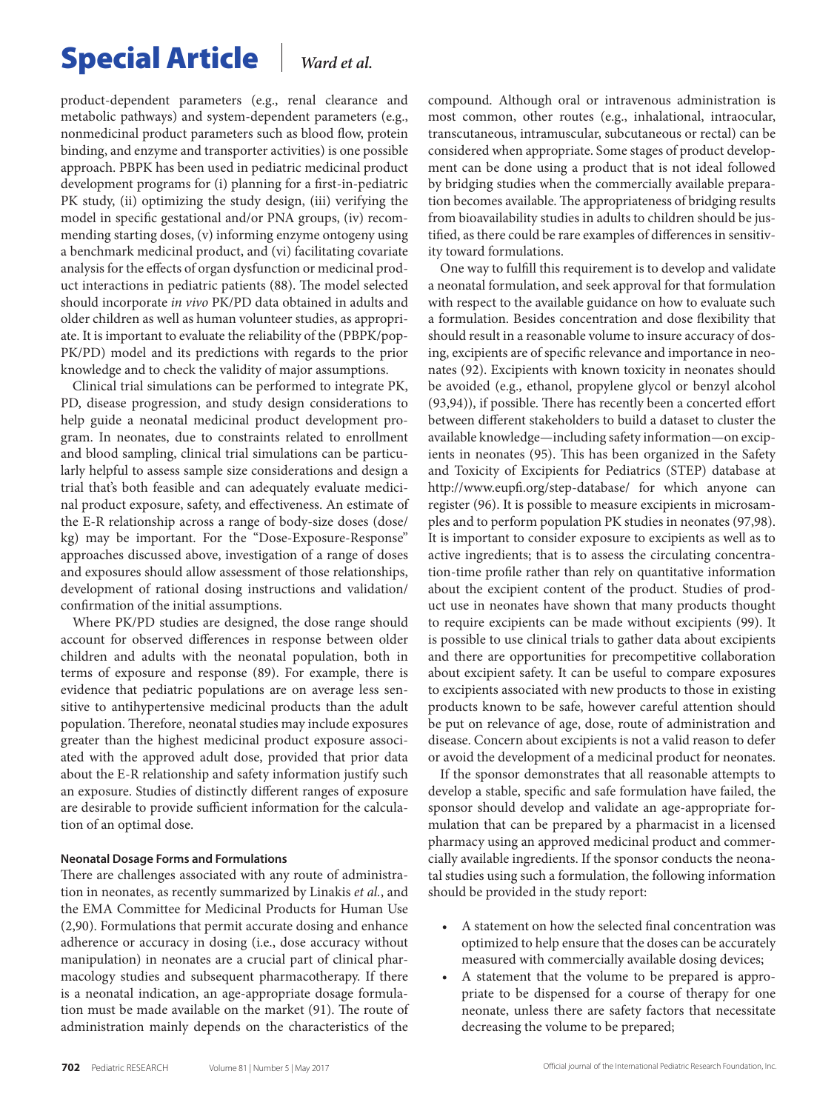product-dependent parameters (e.g., renal clearance and metabolic pathways) and system-dependent parameters (e.g., nonmedicinal product parameters such as blood flow, protein binding, and enzyme and transporter activities) is one possible approach. PBPK has been used in pediatric medicinal product development programs for (i) planning for a first-in-pediatric PK study, (ii) optimizing the study design, (iii) verifying the model in specific gestational and/or PNA groups, (iv) recommending starting doses, (v) informing enzyme ontogeny using a benchmark medicinal product, and (vi) facilitating covariate analysis for the effects of organ dysfunction or medicinal product interactions in pediatric patients (88). The model selected should incorporate *in vivo* PK/PD data obtained in adults and older children as well as human volunteer studies, as appropriate. It is important to evaluate the reliability of the (PBPK/pop-PK/PD) model and its predictions with regards to the prior knowledge and to check the validity of major assumptions.

Clinical trial simulations can be performed to integrate PK, PD, disease progression, and study design considerations to help guide a neonatal medicinal product development program. In neonates, due to constraints related to enrollment and blood sampling, clinical trial simulations can be particularly helpful to assess sample size considerations and design a trial that's both feasible and can adequately evaluate medicinal product exposure, safety, and effectiveness. An estimate of the E-R relationship across a range of body-size doses (dose/ kg) may be important. For the "Dose-Exposure-Response" approaches discussed above, investigation of a range of doses and exposures should allow assessment of those relationships, development of rational dosing instructions and validation/ confirmation of the initial assumptions.

Where PK/PD studies are designed, the dose range should account for observed differences in response between older children and adults with the neonatal population, both in terms of exposure and response (89). For example, there is evidence that pediatric populations are on average less sensitive to antihypertensive medicinal products than the adult population. Therefore, neonatal studies may include exposures greater than the highest medicinal product exposure associated with the approved adult dose, provided that prior data about the E-R relationship and safety information justify such an exposure. Studies of distinctly different ranges of exposure are desirable to provide sufficient information for the calculation of an optimal dose.

### **Neonatal Dosage Forms and Formulations**

There are challenges associated with any route of administration in neonates, as recently summarized by Linakis *et al.*, and the EMA Committee for Medicinal Products for Human Use (2,90). Formulations that permit accurate dosing and enhance adherence or accuracy in dosing (i.e., dose accuracy without manipulation) in neonates are a crucial part of clinical pharmacology studies and subsequent pharmacotherapy. If there is a neonatal indication, an age-appropriate dosage formulation must be made available on the market (91). The route of administration mainly depends on the characteristics of the compound. Although oral or intravenous administration is most common, other routes (e.g., inhalational, intraocular, transcutaneous, intramuscular, subcutaneous or rectal) can be considered when appropriate. Some stages of product development can be done using a product that is not ideal followed by bridging studies when the commercially available preparation becomes available. The appropriateness of bridging results from bioavailability studies in adults to children should be justified, as there could be rare examples of differences in sensitivity toward formulations.

One way to fulfill this requirement is to develop and validate a neonatal formulation, and seek approval for that formulation with respect to the available guidance on how to evaluate such a formulation. Besides concentration and dose flexibility that should result in a reasonable volume to insure accuracy of dosing, excipients are of specific relevance and importance in neonates (92). Excipients with known toxicity in neonates should be avoided (e.g., ethanol, propylene glycol or benzyl alcohol (93,94)), if possible. There has recently been a concerted effort between different stakeholders to build a dataset to cluster the available knowledge—including safety information—on excipients in neonates (95). This has been organized in the Safety and Toxicity of Excipients for Pediatrics (STEP) database at <http://www.eupfi.org/step-database/> for which anyone can register (96). It is possible to measure excipients in microsamples and to perform population PK studies in neonates (97,98). It is important to consider exposure to excipients as well as to active ingredients; that is to assess the circulating concentration-time profile rather than rely on quantitative information about the excipient content of the product. Studies of product use in neonates have shown that many products thought to require excipients can be made without excipients (99). It is possible to use clinical trials to gather data about excipients and there are opportunities for precompetitive collaboration about excipient safety. It can be useful to compare exposures to excipients associated with new products to those in existing products known to be safe, however careful attention should be put on relevance of age, dose, route of administration and disease. Concern about excipients is not a valid reason to defer or avoid the development of a medicinal product for neonates.

If the sponsor demonstrates that all reasonable attempts to develop a stable, specific and safe formulation have failed, the sponsor should develop and validate an age-appropriate formulation that can be prepared by a pharmacist in a licensed pharmacy using an approved medicinal product and commercially available ingredients. If the sponsor conducts the neonatal studies using such a formulation, the following information should be provided in the study report:

- • A statement on how the selected final concentration was optimized to help ensure that the doses can be accurately measured with commercially available dosing devices;
- • A statement that the volume to be prepared is appropriate to be dispensed for a course of therapy for one neonate, unless there are safety factors that necessitate decreasing the volume to be prepared;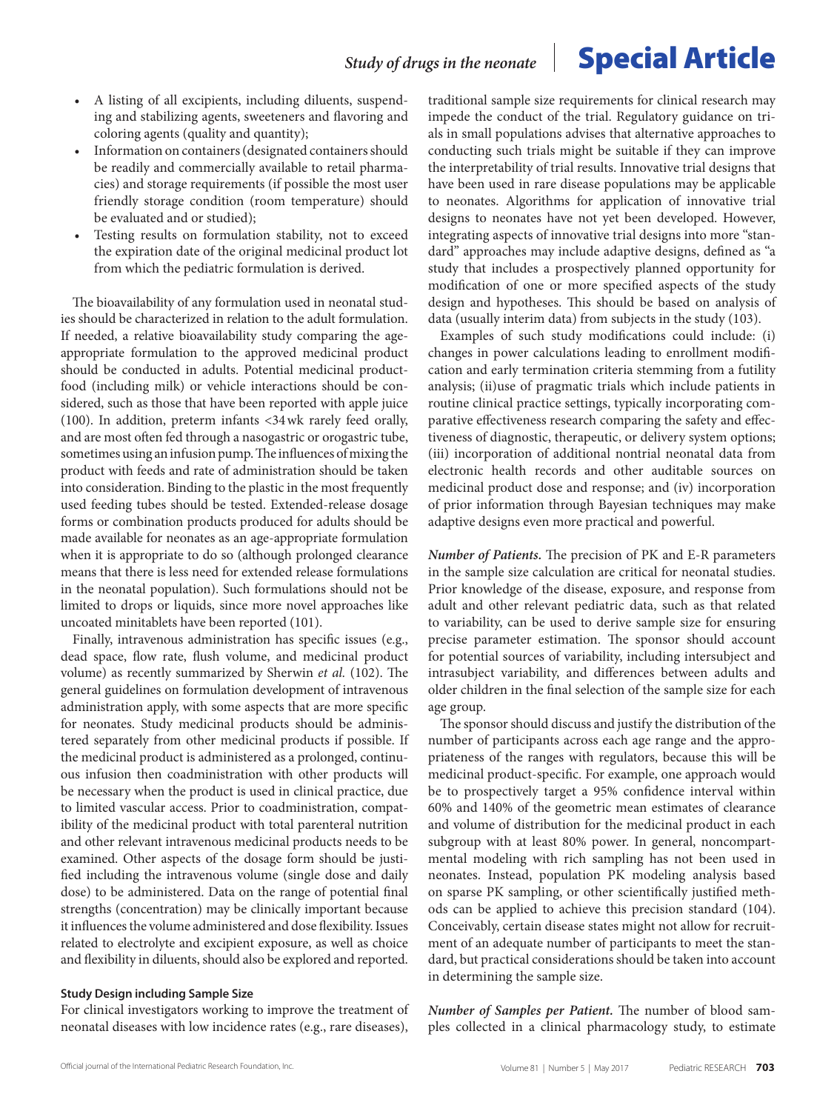- A listing of all excipients, including diluents, suspending and stabilizing agents, sweeteners and flavoring and coloring agents (quality and quantity);
- Information on containers (designated containers should be readily and commercially available to retail pharmacies) and storage requirements (if possible the most user friendly storage condition (room temperature) should be evaluated and or studied);
- Testing results on formulation stability, not to exceed the expiration date of the original medicinal product lot from which the pediatric formulation is derived.

The bioavailability of any formulation used in neonatal studies should be characterized in relation to the adult formulation. If needed, a relative bioavailability study comparing the ageappropriate formulation to the approved medicinal product should be conducted in adults. Potential medicinal productfood (including milk) or vehicle interactions should be considered, such as those that have been reported with apple juice (100). In addition, preterm infants <34wk rarely feed orally, and are most often fed through a nasogastric or orogastric tube, sometimes using an infusion pump. The influences of mixing the product with feeds and rate of administration should be taken into consideration. Binding to the plastic in the most frequently used feeding tubes should be tested. Extended-release dosage forms or combination products produced for adults should be made available for neonates as an age-appropriate formulation when it is appropriate to do so (although prolonged clearance means that there is less need for extended release formulations in the neonatal population). Such formulations should not be limited to drops or liquids, since more novel approaches like uncoated minitablets have been reported (101).

Finally, intravenous administration has specific issues (e.g., dead space, flow rate, flush volume, and medicinal product volume) as recently summarized by Sherwin *et al.* (102). The general guidelines on formulation development of intravenous administration apply, with some aspects that are more specific for neonates. Study medicinal products should be administered separately from other medicinal products if possible. If the medicinal product is administered as a prolonged, continuous infusion then coadministration with other products will be necessary when the product is used in clinical practice, due to limited vascular access. Prior to coadministration, compatibility of the medicinal product with total parenteral nutrition and other relevant intravenous medicinal products needs to be examined. Other aspects of the dosage form should be justified including the intravenous volume (single dose and daily dose) to be administered. Data on the range of potential final strengths (concentration) may be clinically important because it influences the volume administered and dose flexibility. Issues related to electrolyte and excipient exposure, as well as choice and flexibility in diluents, should also be explored and reported.

### **Study Design including Sample Size**

For clinical investigators working to improve the treatment of neonatal diseases with low incidence rates (e.g., rare diseases),

traditional sample size requirements for clinical research may impede the conduct of the trial. Regulatory guidance on trials in small populations advises that alternative approaches to conducting such trials might be suitable if they can improve the interpretability of trial results. Innovative trial designs that have been used in rare disease populations may be applicable to neonates. Algorithms for application of innovative trial designs to neonates have not yet been developed. However, integrating aspects of innovative trial designs into more "standard'' approaches may include adaptive designs, defined as ''a study that includes a prospectively planned opportunity for modification of one or more specified aspects of the study design and hypotheses. This should be based on analysis of data (usually interim data) from subjects in the study (103).

Examples of such study modifications could include: (i) changes in power calculations leading to enrollment modification and early termination criteria stemming from a futility analysis; (ii)use of pragmatic trials which include patients in routine clinical practice settings, typically incorporating comparative effectiveness research comparing the safety and effectiveness of diagnostic, therapeutic, or delivery system options; (iii) incorporation of additional nontrial neonatal data from electronic health records and other auditable sources on medicinal product dose and response; and (iv) incorporation of prior information through Bayesian techniques may make adaptive designs even more practical and powerful.

*Number of Patients.* The precision of PK and E-R parameters in the sample size calculation are critical for neonatal studies. Prior knowledge of the disease, exposure, and response from adult and other relevant pediatric data, such as that related to variability, can be used to derive sample size for ensuring precise parameter estimation. The sponsor should account for potential sources of variability, including intersubject and intrasubject variability, and differences between adults and older children in the final selection of the sample size for each age group.

The sponsor should discuss and justify the distribution of the number of participants across each age range and the appropriateness of the ranges with regulators, because this will be medicinal product-specific. For example, one approach would be to prospectively target a 95% confidence interval within 60% and 140% of the geometric mean estimates of clearance and volume of distribution for the medicinal product in each subgroup with at least 80% power. In general, noncompartmental modeling with rich sampling has not been used in neonates. Instead, population PK modeling analysis based on sparse PK sampling, or other scientifically justified methods can be applied to achieve this precision standard (104). Conceivably, certain disease states might not allow for recruitment of an adequate number of participants to meet the standard, but practical considerations should be taken into account in determining the sample size.

*Number of Samples per Patient.* The number of blood samples collected in a clinical pharmacology study, to estimate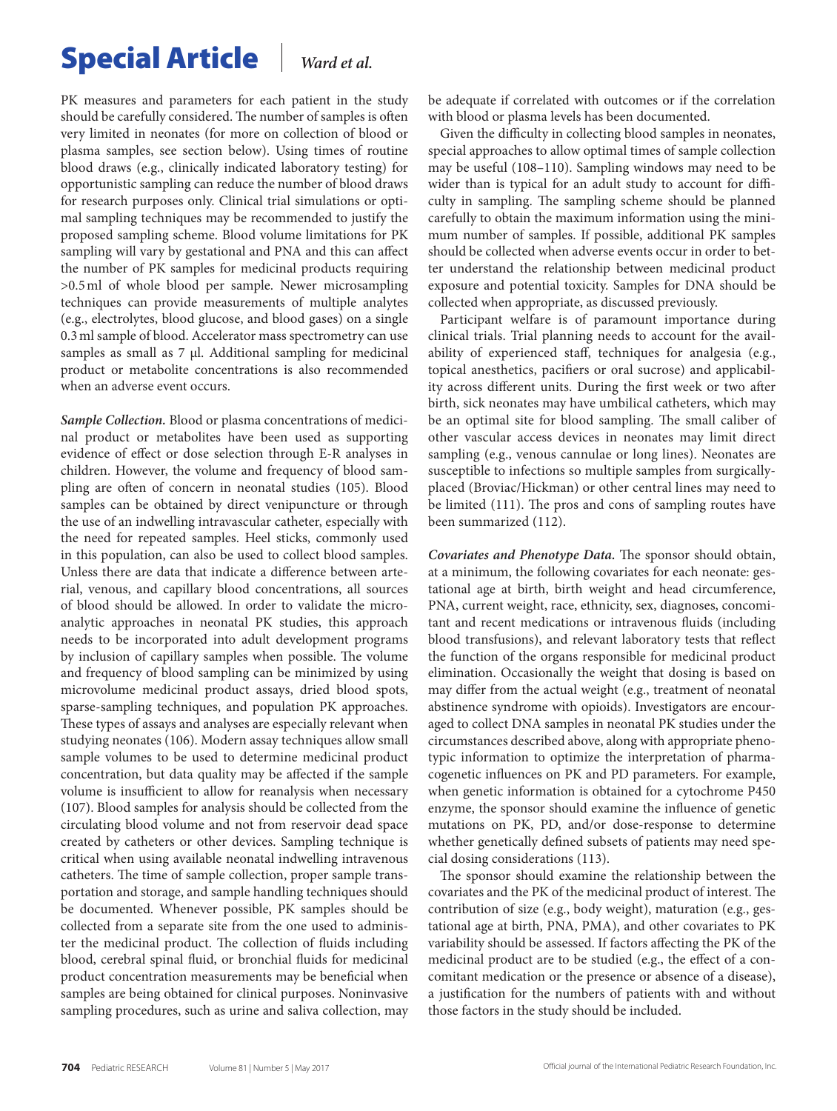PK measures and parameters for each patient in the study should be carefully considered. The number of samples is often very limited in neonates (for more on collection of blood or plasma samples, see section below). Using times of routine blood draws (e.g., clinically indicated laboratory testing) for opportunistic sampling can reduce the number of blood draws for research purposes only. Clinical trial simulations or optimal sampling techniques may be recommended to justify the proposed sampling scheme. Blood volume limitations for PK sampling will vary by gestational and PNA and this can affect the number of PK samples for medicinal products requiring >0.5ml of whole blood per sample. Newer microsampling techniques can provide measurements of multiple analytes (e.g., electrolytes, blood glucose, and blood gases) on a single 0.3ml sample of blood. Accelerator mass spectrometry can use samples as small as  $7 \mu$ l. Additional sampling for medicinal product or metabolite concentrations is also recommended when an adverse event occurs.

*Sample Collection.* Blood or plasma concentrations of medicinal product or metabolites have been used as supporting evidence of effect or dose selection through E-R analyses in children. However, the volume and frequency of blood sampling are often of concern in neonatal studies (105). Blood samples can be obtained by direct venipuncture or through the use of an indwelling intravascular catheter, especially with the need for repeated samples. Heel sticks, commonly used in this population, can also be used to collect blood samples. Unless there are data that indicate a difference between arterial, venous, and capillary blood concentrations, all sources of blood should be allowed. In order to validate the microanalytic approaches in neonatal PK studies, this approach needs to be incorporated into adult development programs by inclusion of capillary samples when possible. The volume and frequency of blood sampling can be minimized by using microvolume medicinal product assays, dried blood spots, sparse-sampling techniques, and population PK approaches. These types of assays and analyses are especially relevant when studying neonates (106). Modern assay techniques allow small sample volumes to be used to determine medicinal product concentration, but data quality may be affected if the sample volume is insufficient to allow for reanalysis when necessary (107). Blood samples for analysis should be collected from the circulating blood volume and not from reservoir dead space created by catheters or other devices. Sampling technique is critical when using available neonatal indwelling intravenous catheters. The time of sample collection, proper sample transportation and storage, and sample handling techniques should be documented. Whenever possible, PK samples should be collected from a separate site from the one used to administer the medicinal product. The collection of fluids including blood, cerebral spinal fluid, or bronchial fluids for medicinal product concentration measurements may be beneficial when samples are being obtained for clinical purposes. Noninvasive sampling procedures, such as urine and saliva collection, may

be adequate if correlated with outcomes or if the correlation with blood or plasma levels has been documented.

Given the difficulty in collecting blood samples in neonates, special approaches to allow optimal times of sample collection may be useful (108–110). Sampling windows may need to be wider than is typical for an adult study to account for difficulty in sampling. The sampling scheme should be planned carefully to obtain the maximum information using the minimum number of samples. If possible, additional PK samples should be collected when adverse events occur in order to better understand the relationship between medicinal product exposure and potential toxicity. Samples for DNA should be collected when appropriate, as discussed previously.

Participant welfare is of paramount importance during clinical trials. Trial planning needs to account for the availability of experienced staff, techniques for analgesia (e.g., topical anesthetics, pacifiers or oral sucrose) and applicability across different units. During the first week or two after birth, sick neonates may have umbilical catheters, which may be an optimal site for blood sampling. The small caliber of other vascular access devices in neonates may limit direct sampling (e.g., venous cannulae or long lines). Neonates are susceptible to infections so multiple samples from surgicallyplaced (Broviac/Hickman) or other central lines may need to be limited (111). The pros and cons of sampling routes have been summarized (112).

*Covariates and Phenotype Data.* The sponsor should obtain, at a minimum, the following covariates for each neonate: gestational age at birth, birth weight and head circumference, PNA, current weight, race, ethnicity, sex, diagnoses, concomitant and recent medications or intravenous fluids (including blood transfusions), and relevant laboratory tests that reflect the function of the organs responsible for medicinal product elimination. Occasionally the weight that dosing is based on may differ from the actual weight (e.g., treatment of neonatal abstinence syndrome with opioids). Investigators are encouraged to collect DNA samples in neonatal PK studies under the circumstances described above, along with appropriate phenotypic information to optimize the interpretation of pharmacogenetic influences on PK and PD parameters. For example, when genetic information is obtained for a cytochrome P450 enzyme, the sponsor should examine the influence of genetic mutations on PK, PD, and/or dose-response to determine whether genetically defined subsets of patients may need special dosing considerations (113).

The sponsor should examine the relationship between the covariates and the PK of the medicinal product of interest. The contribution of size (e.g., body weight), maturation (e.g., gestational age at birth, PNA, PMA), and other covariates to PK variability should be assessed. If factors affecting the PK of the medicinal product are to be studied (e.g., the effect of a concomitant medication or the presence or absence of a disease), a justification for the numbers of patients with and without those factors in the study should be included.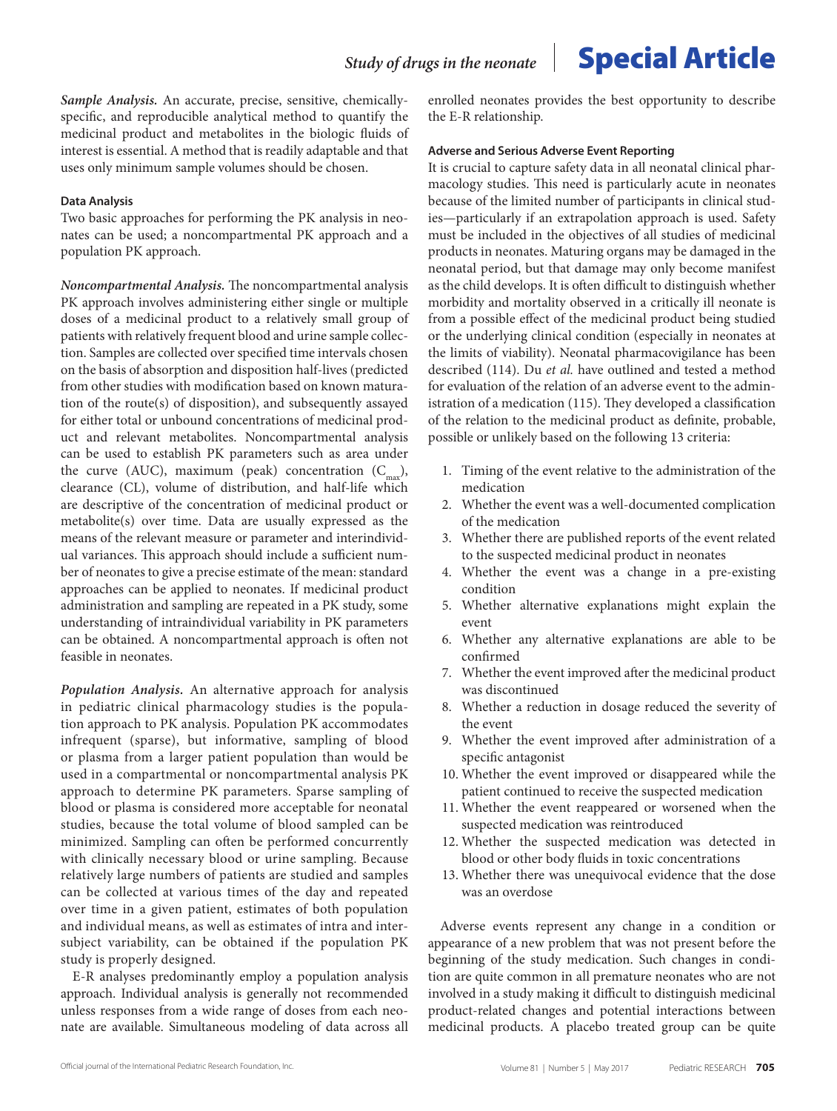*Sample Analysis.* An accurate, precise, sensitive, chemicallyspecific, and reproducible analytical method to quantify the medicinal product and metabolites in the biologic fluids of interest is essential. A method that is readily adaptable and that uses only minimum sample volumes should be chosen.

#### **Data Analysis**

Two basic approaches for performing the PK analysis in neonates can be used; a noncompartmental PK approach and a population PK approach.

*Noncompartmental Analysis.* The noncompartmental analysis PK approach involves administering either single or multiple doses of a medicinal product to a relatively small group of patients with relatively frequent blood and urine sample collection. Samples are collected over specified time intervals chosen on the basis of absorption and disposition half-lives (predicted from other studies with modification based on known maturation of the route(s) of disposition), and subsequently assayed for either total or unbound concentrations of medicinal product and relevant metabolites. Noncompartmental analysis can be used to establish PK parameters such as area under the curve (AUC), maximum (peak) concentration  $(C_{\text{max}})$ , clearance (CL), volume of distribution, and half-life which are descriptive of the concentration of medicinal product or metabolite(s) over time. Data are usually expressed as the means of the relevant measure or parameter and interindividual variances. This approach should include a sufficient number of neonates to give a precise estimate of the mean: standard approaches can be applied to neonates. If medicinal product administration and sampling are repeated in a PK study, some understanding of intraindividual variability in PK parameters can be obtained. A noncompartmental approach is often not feasible in neonates.

*Population Analysis.* An alternative approach for analysis in pediatric clinical pharmacology studies is the population approach to PK analysis. Population PK accommodates infrequent (sparse), but informative, sampling of blood or plasma from a larger patient population than would be used in a compartmental or noncompartmental analysis PK approach to determine PK parameters. Sparse sampling of blood or plasma is considered more acceptable for neonatal studies, because the total volume of blood sampled can be minimized. Sampling can often be performed concurrently with clinically necessary blood or urine sampling. Because relatively large numbers of patients are studied and samples can be collected at various times of the day and repeated over time in a given patient, estimates of both population and individual means, as well as estimates of intra and intersubject variability, can be obtained if the population PK study is properly designed.

E-R analyses predominantly employ a population analysis approach. Individual analysis is generally not recommended unless responses from a wide range of doses from each neonate are available. Simultaneous modeling of data across all enrolled neonates provides the best opportunity to describe the E-R relationship.

#### **Adverse and Serious Adverse Event Reporting**

It is crucial to capture safety data in all neonatal clinical pharmacology studies. This need is particularly acute in neonates because of the limited number of participants in clinical studies—particularly if an extrapolation approach is used. Safety must be included in the objectives of all studies of medicinal products in neonates. Maturing organs may be damaged in the neonatal period, but that damage may only become manifest as the child develops. It is often difficult to distinguish whether morbidity and mortality observed in a critically ill neonate is from a possible effect of the medicinal product being studied or the underlying clinical condition (especially in neonates at the limits of viability). Neonatal pharmacovigilance has been described (114). Du *et al.* have outlined and tested a method for evaluation of the relation of an adverse event to the administration of a medication (115). They developed a classification of the relation to the medicinal product as definite, probable, possible or unlikely based on the following 13 criteria:

- 1. Timing of the event relative to the administration of the medication
- 2. Whether the event was a well-documented complication of the medication
- 3. Whether there are published reports of the event related to the suspected medicinal product in neonates
- 4. Whether the event was a change in a pre-existing condition
- 5. Whether alternative explanations might explain the event
- 6. Whether any alternative explanations are able to be confirmed
- 7. Whether the event improved after the medicinal product was discontinued
- 8. Whether a reduction in dosage reduced the severity of the event
- 9. Whether the event improved after administration of a specific antagonist
- 10. Whether the event improved or disappeared while the patient continued to receive the suspected medication
- 11. Whether the event reappeared or worsened when the suspected medication was reintroduced
- 12. Whether the suspected medication was detected in blood or other body fluids in toxic concentrations
- 13. Whether there was unequivocal evidence that the dose was an overdose

Adverse events represent any change in a condition or appearance of a new problem that was not present before the beginning of the study medication. Such changes in condition are quite common in all premature neonates who are not involved in a study making it difficult to distinguish medicinal product-related changes and potential interactions between medicinal products. A placebo treated group can be quite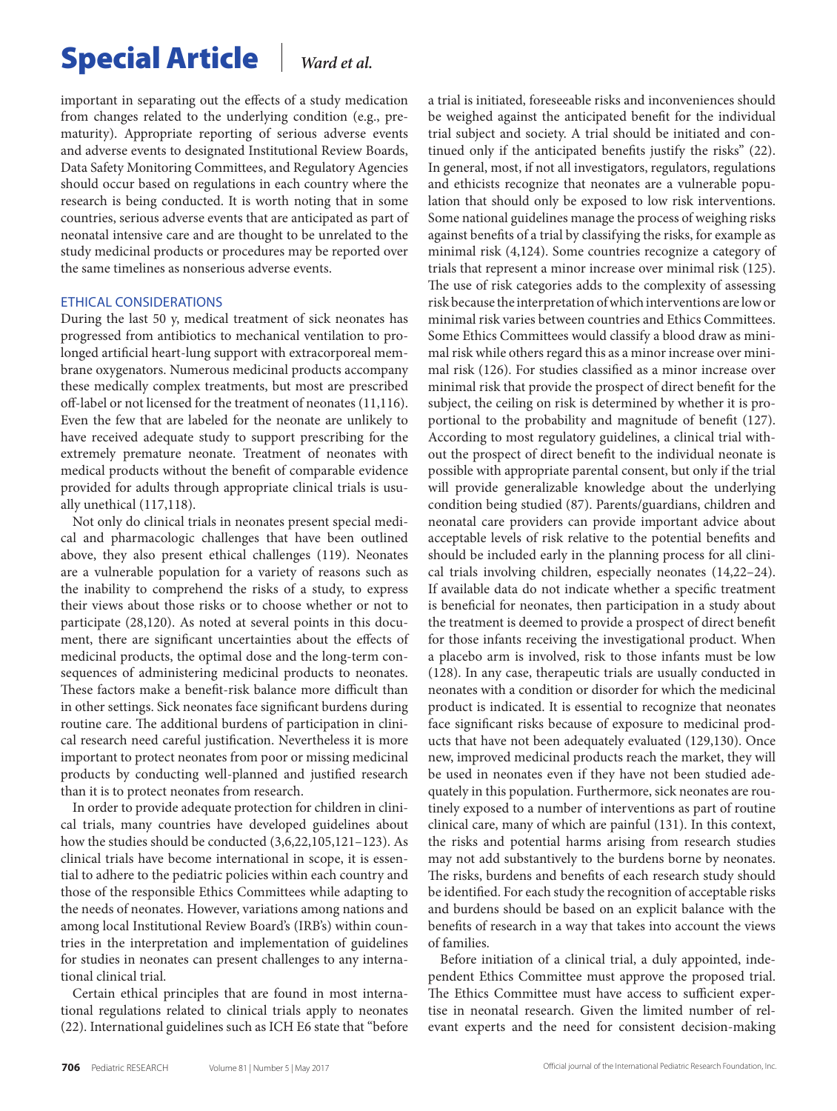important in separating out the effects of a study medication from changes related to the underlying condition (e.g., prematurity). Appropriate reporting of serious adverse events and adverse events to designated Institutional Review Boards, Data Safety Monitoring Committees, and Regulatory Agencies should occur based on regulations in each country where the research is being conducted. It is worth noting that in some countries, serious adverse events that are anticipated as part of neonatal intensive care and are thought to be unrelated to the study medicinal products or procedures may be reported over the same timelines as nonserious adverse events.

### ETHICAL CONSIDERATIONS

During the last 50 y, medical treatment of sick neonates has progressed from antibiotics to mechanical ventilation to prolonged artificial heart-lung support with extracorporeal membrane oxygenators. Numerous medicinal products accompany these medically complex treatments, but most are prescribed off-label or not licensed for the treatment of neonates (11,116). Even the few that are labeled for the neonate are unlikely to have received adequate study to support prescribing for the extremely premature neonate. Treatment of neonates with medical products without the benefit of comparable evidence provided for adults through appropriate clinical trials is usually unethical (117,118).

Not only do clinical trials in neonates present special medical and pharmacologic challenges that have been outlined above, they also present ethical challenges (119). Neonates are a vulnerable population for a variety of reasons such as the inability to comprehend the risks of a study, to express their views about those risks or to choose whether or not to participate (28,120). As noted at several points in this document, there are significant uncertainties about the effects of medicinal products, the optimal dose and the long-term consequences of administering medicinal products to neonates. These factors make a benefit-risk balance more difficult than in other settings. Sick neonates face significant burdens during routine care. The additional burdens of participation in clinical research need careful justification. Nevertheless it is more important to protect neonates from poor or missing medicinal products by conducting well-planned and justified research than it is to protect neonates from research.

In order to provide adequate protection for children in clinical trials, many countries have developed guidelines about how the studies should be conducted (3,6,22,105,121–123). As clinical trials have become international in scope, it is essential to adhere to the pediatric policies within each country and those of the responsible Ethics Committees while adapting to the needs of neonates. However, variations among nations and among local Institutional Review Board's (IRB's) within countries in the interpretation and implementation of guidelines for studies in neonates can present challenges to any international clinical trial.

Certain ethical principles that are found in most international regulations related to clinical trials apply to neonates (22). International guidelines such as ICH E6 state that "before a trial is initiated, foreseeable risks and inconveniences should be weighed against the anticipated benefit for the individual trial subject and society. A trial should be initiated and continued only if the anticipated benefits justify the risks" (22). In general, most, if not all investigators, regulators, regulations and ethicists recognize that neonates are a vulnerable population that should only be exposed to low risk interventions. Some national guidelines manage the process of weighing risks against benefits of a trial by classifying the risks, for example as minimal risk (4,124). Some countries recognize a category of trials that represent a minor increase over minimal risk (125). The use of risk categories adds to the complexity of assessing risk because the interpretation of which interventions are low or minimal risk varies between countries and Ethics Committees. Some Ethics Committees would classify a blood draw as minimal risk while others regard this as a minor increase over minimal risk (126). For studies classified as a minor increase over minimal risk that provide the prospect of direct benefit for the subject, the ceiling on risk is determined by whether it is proportional to the probability and magnitude of benefit (127). According to most regulatory guidelines, a clinical trial without the prospect of direct benefit to the individual neonate is possible with appropriate parental consent, but only if the trial will provide generalizable knowledge about the underlying condition being studied (87). Parents/guardians, children and neonatal care providers can provide important advice about acceptable levels of risk relative to the potential benefits and should be included early in the planning process for all clinical trials involving children, especially neonates (14,22–24). If available data do not indicate whether a specific treatment is beneficial for neonates, then participation in a study about the treatment is deemed to provide a prospect of direct benefit for those infants receiving the investigational product. When a placebo arm is involved, risk to those infants must be low (128). In any case, therapeutic trials are usually conducted in neonates with a condition or disorder for which the medicinal product is indicated. It is essential to recognize that neonates face significant risks because of exposure to medicinal products that have not been adequately evaluated (129,130). Once new, improved medicinal products reach the market, they will be used in neonates even if they have not been studied adequately in this population. Furthermore, sick neonates are routinely exposed to a number of interventions as part of routine clinical care, many of which are painful (131). In this context, the risks and potential harms arising from research studies may not add substantively to the burdens borne by neonates. The risks, burdens and benefits of each research study should be identified. For each study the recognition of acceptable risks and burdens should be based on an explicit balance with the benefits of research in a way that takes into account the views of families.

Before initiation of a clinical trial, a duly appointed, independent Ethics Committee must approve the proposed trial. The Ethics Committee must have access to sufficient expertise in neonatal research. Given the limited number of relevant experts and the need for consistent decision-making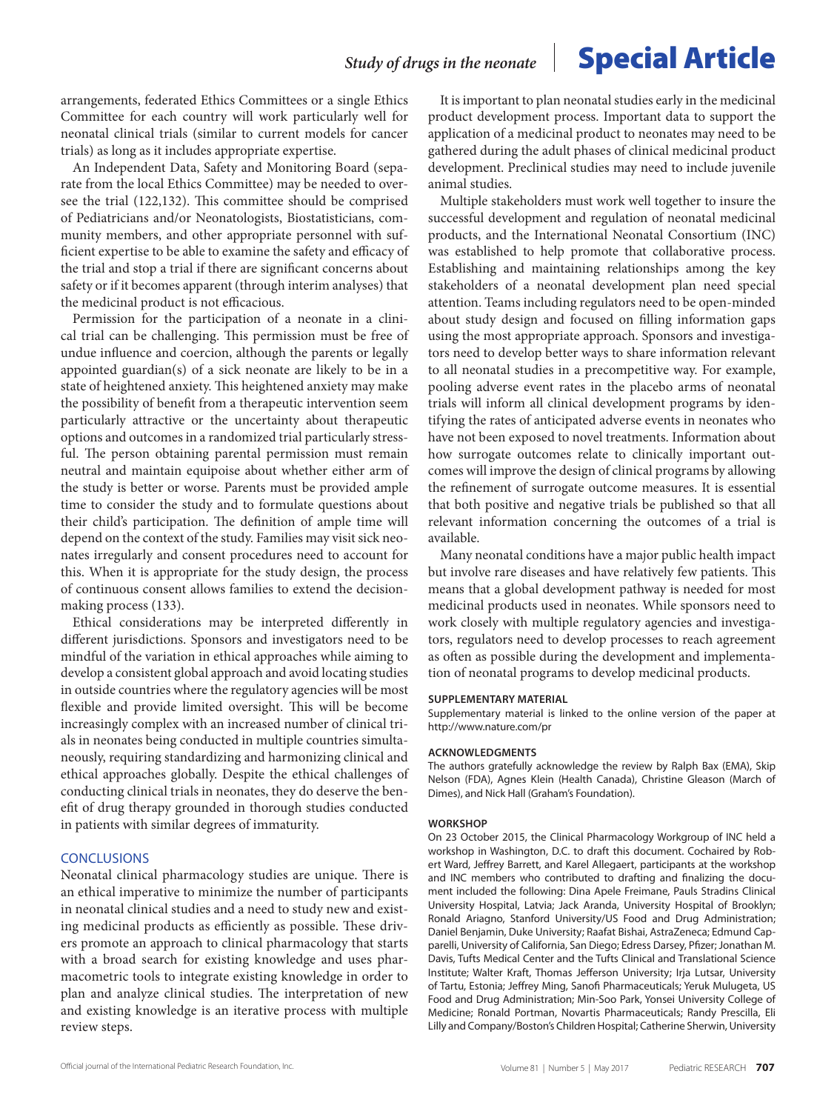arrangements, federated Ethics Committees or a single Ethics Committee for each country will work particularly well for neonatal clinical trials (similar to current models for cancer trials) as long as it includes appropriate expertise.

An Independent Data, Safety and Monitoring Board (separate from the local Ethics Committee) may be needed to oversee the trial (122,132). This committee should be comprised of Pediatricians and/or Neonatologists, Biostatisticians, community members, and other appropriate personnel with sufficient expertise to be able to examine the safety and efficacy of the trial and stop a trial if there are significant concerns about safety or if it becomes apparent (through interim analyses) that the medicinal product is not efficacious.

Permission for the participation of a neonate in a clinical trial can be challenging. This permission must be free of undue influence and coercion, although the parents or legally appointed guardian(s) of a sick neonate are likely to be in a state of heightened anxiety. This heightened anxiety may make the possibility of benefit from a therapeutic intervention seem particularly attractive or the uncertainty about therapeutic options and outcomes in a randomized trial particularly stressful. The person obtaining parental permission must remain neutral and maintain equipoise about whether either arm of the study is better or worse. Parents must be provided ample time to consider the study and to formulate questions about their child's participation. The definition of ample time will depend on the context of the study. Families may visit sick neonates irregularly and consent procedures need to account for this. When it is appropriate for the study design, the process of continuous consent allows families to extend the decisionmaking process (133).

Ethical considerations may be interpreted differently in different jurisdictions. Sponsors and investigators need to be mindful of the variation in ethical approaches while aiming to develop a consistent global approach and avoid locating studies in outside countries where the regulatory agencies will be most flexible and provide limited oversight. This will be become increasingly complex with an increased number of clinical trials in neonates being conducted in multiple countries simultaneously, requiring standardizing and harmonizing clinical and ethical approaches globally. Despite the ethical challenges of conducting clinical trials in neonates, they do deserve the benefit of drug therapy grounded in thorough studies conducted in patients with similar degrees of immaturity.

### **CONCLUSIONS**

Neonatal clinical pharmacology studies are unique. There is an ethical imperative to minimize the number of participants in neonatal clinical studies and a need to study new and existing medicinal products as efficiently as possible. These drivers promote an approach to clinical pharmacology that starts with a broad search for existing knowledge and uses pharmacometric tools to integrate existing knowledge in order to plan and analyze clinical studies. The interpretation of new and existing knowledge is an iterative process with multiple review steps.

It is important to plan neonatal studies early in the medicinal product development process. Important data to support the application of a medicinal product to neonates may need to be gathered during the adult phases of clinical medicinal product development. Preclinical studies may need to include juvenile animal studies.

Multiple stakeholders must work well together to insure the successful development and regulation of neonatal medicinal products, and the International Neonatal Consortium (INC) was established to help promote that collaborative process. Establishing and maintaining relationships among the key stakeholders of a neonatal development plan need special attention. Teams including regulators need to be open-minded about study design and focused on filling information gaps using the most appropriate approach. Sponsors and investigators need to develop better ways to share information relevant to all neonatal studies in a precompetitive way. For example, pooling adverse event rates in the placebo arms of neonatal trials will inform all clinical development programs by identifying the rates of anticipated adverse events in neonates who have not been exposed to novel treatments. Information about how surrogate outcomes relate to clinically important outcomes will improve the design of clinical programs by allowing the refinement of surrogate outcome measures. It is essential that both positive and negative trials be published so that all relevant information concerning the outcomes of a trial is available.

Many neonatal conditions have a major public health impact but involve rare diseases and have relatively few patients. This means that a global development pathway is needed for most medicinal products used in neonates. While sponsors need to work closely with multiple regulatory agencies and investigators, regulators need to develop processes to reach agreement as often as possible during the development and implementation of neonatal programs to develop medicinal products.

#### **SUPPLEMENTARY MATERIAL**

Supplementary material is linked to the online version of the paper at <http://www.nature.com/pr>

#### **ACKNOWLEDGMENTS**

The authors gratefully acknowledge the review by Ralph Bax (EMA), Skip Nelson (FDA), Agnes Klein (Health Canada), Christine Gleason (March of Dimes), and Nick Hall (Graham's Foundation).

#### **WORKSHOP**

On 23 October 2015, the Clinical Pharmacology Workgroup of INC held a workshop in Washington, D.C. to draft this document. Cochaired by Robert Ward, Jeffrey Barrett, and Karel Allegaert, participants at the workshop and INC members who contributed to drafting and finalizing the document included the following: Dina Apele Freimane, Pauls Stradins Clinical University Hospital, Latvia; Jack Aranda, University Hospital of Brooklyn; Ronald Ariagno, Stanford University/US Food and Drug Administration; Daniel Benjamin, Duke University; Raafat Bishai, AstraZeneca; Edmund Capparelli, University of California, San Diego; Edress Darsey, Pfizer; Jonathan M. Davis, Tufts Medical Center and the Tufts Clinical and Translational Science Institute; Walter Kraft, Thomas Jefferson University; Irja Lutsar, University of Tartu, Estonia; Jeffrey Ming, Sanofi Pharmaceuticals; Yeruk Mulugeta, US Food and Drug Administration; Min-Soo Park, Yonsei University College of Medicine; Ronald Portman, Novartis Pharmaceuticals; Randy Prescilla, Eli Lilly and Company/Boston's Children Hospital; Catherine Sherwin, University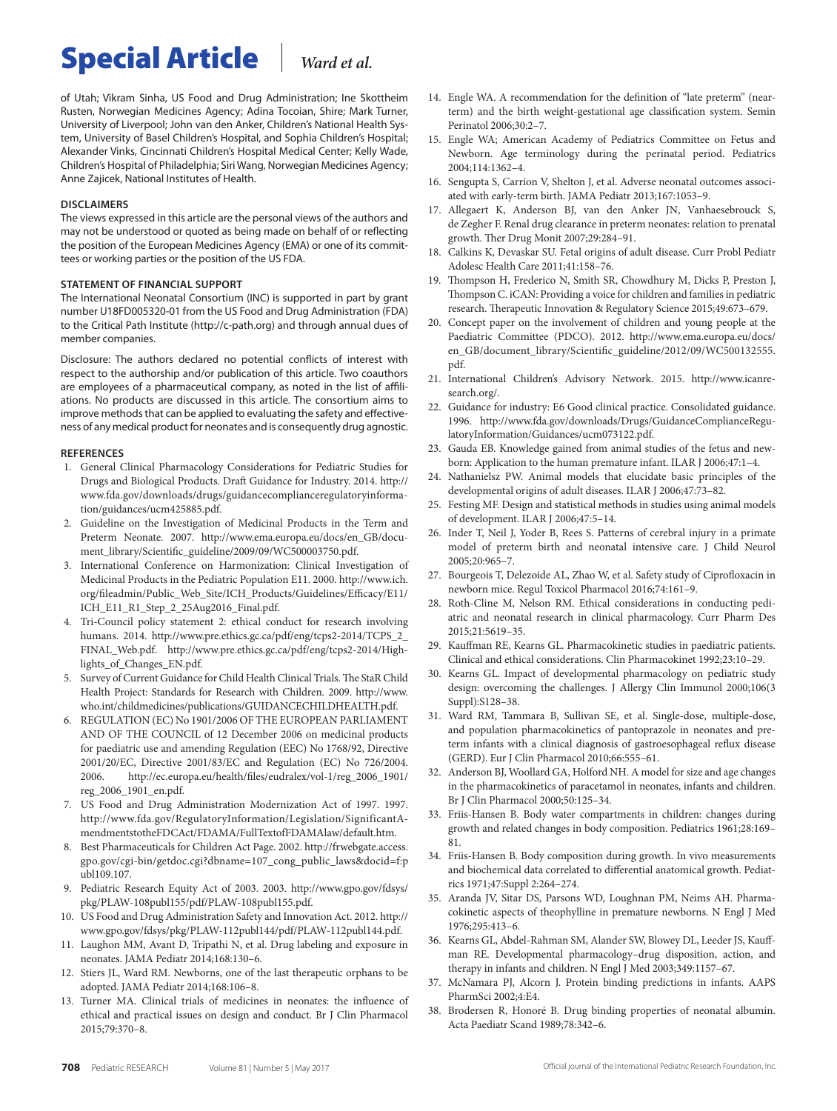of Utah; Vikram Sinha, US Food and Drug Administration; Ine Skottheim Rusten, Norwegian Medicines Agency; Adina Tocoian, Shire; Mark Turner, University of Liverpool; John van den Anker, Children's National Health System, University of Basel Children's Hospital, and Sophia Children's Hospital; Alexander Vinks, Cincinnati Children's Hospital Medical Center; Kelly Wade, Children's Hospital of Philadelphia; Siri Wang, Norwegian Medicines Agency; Anne Zajicek, National Institutes of Health.

#### **DISCLAIMERS**

The views expressed in this article are the personal views of the authors and may not be understood or quoted as being made on behalf of or reflecting the position of the European Medicines Agency (EMA) or one of its committees or working parties or the position of the US FDA.

#### **STATEMENT OF FINANCIAL SUPPORT**

The International Neonatal Consortium (INC) is supported in part by grant number U18FD005320-01 from the US Food and Drug Administration (FDA) to the Critical Path Institute [\(http://c-path.org](http://c-path.org)) and through annual dues of member companies.

Disclosure: The authors declared no potential conflicts of interest with respect to the authorship and/or publication of this article. Two coauthors are employees of a pharmaceutical company, as noted in the list of affiliations. No products are discussed in this article. The consortium aims to improve methods that can be applied to evaluating the safety and effectiveness of any medical product for neonates and is consequently drug agnostic.

#### **References**

- 1. General Clinical Pharmacology Considerations for Pediatric Studies for Drugs and Biological Products. Draft Guidance for Industry. 2014. [http://](http://www.fda.gov/downloads/drugs/guidancecomplianceregulatoryinformation/guidances/ucm425885.pdf) [www.fda.gov/downloads/drugs/guidancecomplianceregulatoryinforma](http://www.fda.gov/downloads/drugs/guidancecomplianceregulatoryinformation/guidances/ucm425885.pdf)[tion/guidances/ucm425885.pdf](http://www.fda.gov/downloads/drugs/guidancecomplianceregulatoryinformation/guidances/ucm425885.pdf).
- 2. Guideline on the Investigation of Medicinal Products in the Term and Preterm Neonate. 2007. [http://www.ema.europa.eu/docs/en\\_GB/docu](http://www.ema.europa.eu/docs/en_GB/document_library/Scientific_guideline/2009/09/WC500003750.pdf)[ment\\_library/Scientific\\_guideline/2009/09/WC500003750.pdf.](http://www.ema.europa.eu/docs/en_GB/document_library/Scientific_guideline/2009/09/WC500003750.pdf)
- 3. International Conference on Harmonization: Clinical Investigation of Medicinal Products in the Pediatric Population E11. 2000. [http://www.ich.](http://www.ich.org/fileadmin/Public_Web_Site/ICH_Products/Guidelines/Efficacy/E11/ICH_E11_R1_Step_2_25Aug2016_Final.pdf) [org/fileadmin/Public\\_Web\\_Site/ICH\\_Products/Guidelines/Efficacy/E11/](http://www.ich.org/fileadmin/Public_Web_Site/ICH_Products/Guidelines/Efficacy/E11/ICH_E11_R1_Step_2_25Aug2016_Final.pdf) [ICH\\_E11\\_R1\\_Step\\_2\\_25Aug2016\\_Final.pdf.](http://www.ich.org/fileadmin/Public_Web_Site/ICH_Products/Guidelines/Efficacy/E11/ICH_E11_R1_Step_2_25Aug2016_Final.pdf)
- 4. Tri-Council policy statement 2: ethical conduct for research involving humans. 2014. [http://www.pre.ethics.gc.ca/pdf/eng/tcps2-2014/TCPS\\_2\\_](http://www.pre.ethics.gc.ca/pdf/eng/tcps2-2014/TCPS_2_FINAL_Web.pdf) [FINAL\\_Web.pdf](http://www.pre.ethics.gc.ca/pdf/eng/tcps2-2014/TCPS_2_FINAL_Web.pdf). [http://www.pre.ethics.gc.ca/pdf/eng/tcps2-2014/High](http://www.pre.ethics.gc.ca/pdf/eng/tcps2-2014/Highlights_of_Changes_EN.pdf)[lights\\_of\\_Changes\\_EN.pdf.](http://www.pre.ethics.gc.ca/pdf/eng/tcps2-2014/Highlights_of_Changes_EN.pdf)
- 5. Survey of Current Guidance for Child Health Clinical Trials. The StaR Child Health Project: Standards for Research with Children. 2009. [http://www.](http://www.who.int/childmedicines/publications/GUIDANCECHILDHEALTH.pdf) [who.int/childmedicines/publications/GUIDANCECHILDHEALTH.pdf.](http://www.who.int/childmedicines/publications/GUIDANCECHILDHEALTH.pdf)
- 6. REGULATION (EC) No 1901/2006 OF THE EUROPEAN PARLIAMENT AND OF THE COUNCIL of 12 December 2006 on medicinal products for paediatric use and amending Regulation (EEC) No 1768/92, Directive 2001/20/EC, Directive 2001/83/EC and Regulation (EC) No 726/2004. 2006. [http://ec.europa.eu/health/files/eudralex/vol-1/reg\\_2006\\_1901/](http://ec.europa.eu/health/files/eudralex/vol-1/reg_2006_1901/reg_2006_1901_en.pdf) [reg\\_2006\\_1901\\_en.pdf.](http://ec.europa.eu/health/files/eudralex/vol-1/reg_2006_1901/reg_2006_1901_en.pdf)
- 7. US Food and Drug Administration Modernization Act of 1997. 1997. [http://www.fda.gov/RegulatoryInformation/Legislation/SignificantA](http://www.fda.gov/RegulatoryInformation/Legislation/SignificantAmendmentstotheFDCAct/FDAMA/FullTextofFDAMAlaw/default.htm)[mendmentstotheFDCAct/FDAMA/FullTextofFDAMAlaw/default.htm.](http://www.fda.gov/RegulatoryInformation/Legislation/SignificantAmendmentstotheFDCAct/FDAMA/FullTextofFDAMAlaw/default.htm)
- 8. Best Pharmaceuticals for Children Act Page. 2002. [http://frwebgate.access.](http://frwebgate.access.gpo.gov/cgi-bin/getdoc.cgi?dbname=107_cong_public_laws & docid=f:publ109.107) [gpo.gov/cgi-bin/getdoc.cgi?dbname=107\\_cong\\_public\\_laws&docid=f:p](http://frwebgate.access.gpo.gov/cgi-bin/getdoc.cgi?dbname=107_cong_public_laws & docid=f:publ109.107) [ubl109.107](http://frwebgate.access.gpo.gov/cgi-bin/getdoc.cgi?dbname=107_cong_public_laws & docid=f:publ109.107).
- 9. Pediatric Research Equity Act of 2003. 2003. [http://www.gpo.gov/fdsys/](http://www.gpo.gov/fdsys/pkg/PLAW-108publ155/pdf/PLAW-108publ155.pdf) [pkg/PLAW-108publ155/pdf/PLAW-108publ155.pdf](http://www.gpo.gov/fdsys/pkg/PLAW-108publ155/pdf/PLAW-108publ155.pdf).
- 10. US Food and Drug Administration Safety and Innovation Act. 2012. [http://](http://www.gpo.gov/fdsys/pkg/PLAW-112publ144/pdf/PLAW-112publ144.pdf) [www.gpo.gov/fdsys/pkg/PLAW-112publ144/pdf/PLAW-112publ144.pdf.](http://www.gpo.gov/fdsys/pkg/PLAW-112publ144/pdf/PLAW-112publ144.pdf)
- 11. Laughon MM, Avant D, Tripathi N, et al. Drug labeling and exposure in neonates. JAMA Pediatr 2014;168:130–6.
- 12. Stiers JL, Ward RM. Newborns, one of the last therapeutic orphans to be adopted. JAMA Pediatr 2014;168:106–8.
- 13. Turner MA. Clinical trials of medicines in neonates: the influence of ethical and practical issues on design and conduct. Br J Clin Pharmacol 2015;79:370–8.
- 14. Engle WA. A recommendation for the definition of "late preterm" (nearterm) and the birth weight-gestational age classification system. Semin Perinatol 2006;30:2–7.
- 15. Engle WA; American Academy of Pediatrics Committee on Fetus and Newborn. Age terminology during the perinatal period. Pediatrics 2004;114:1362–4.
- 16. Sengupta S, Carrion V, Shelton J, et al. Adverse neonatal outcomes associated with early-term birth. JAMA Pediatr 2013;167:1053–9.
- 17. Allegaert K, Anderson BJ, van den Anker JN, Vanhaesebrouck S, de Zegher F. Renal drug clearance in preterm neonates: relation to prenatal growth. Ther Drug Monit 2007;29:284–91.
- 18. Calkins K, Devaskar SU. Fetal origins of adult disease. Curr Probl Pediatr Adolesc Health Care 2011;41:158–76.
- 19. Thompson H, Frederico N, Smith SR, Chowdhury M, Dicks P, Preston J, Thompson C. iCAN: Providing a voice for children and families in pediatric research. Therapeutic Innovation & Regulatory Science 2015;49:673–679.
- 20. Concept paper on the involvement of children and young people at the Paediatric Committee (PDCO). 2012. [http://www.ema.europa.eu/docs/](http://www.ema.europa.eu/docs/en_GB/document_library/Scientific_guideline/2012/09/WC500132555.pdf) [en\\_GB/document\\_library/Scientific\\_guideline/2012/09/WC500132555.](http://www.ema.europa.eu/docs/en_GB/document_library/Scientific_guideline/2012/09/WC500132555.pdf) [pdf.](http://www.ema.europa.eu/docs/en_GB/document_library/Scientific_guideline/2012/09/WC500132555.pdf)
- 21. International Children's Advisory Network. 2015. [http://www.icanre](http://www.icanresearch.org/)[search.org/.](http://www.icanresearch.org/)
- 22. Guidance for industry: E6 Good clinical practice. Consolidated guidance. 1996. [http://www.fda.gov/downloads/Drugs/GuidanceComplianceRegu](http://www.fda.gov/downloads/Drugs/GuidanceComplianceRegulatoryInformation/Guidances/ucm073122.pdf)[latoryInformation/Guidances/ucm073122.pdf.](http://www.fda.gov/downloads/Drugs/GuidanceComplianceRegulatoryInformation/Guidances/ucm073122.pdf)
- 23. Gauda EB. Knowledge gained from animal studies of the fetus and newborn: Application to the human premature infant. ILAR J 2006;47:1–4.
- 24. Nathanielsz PW. Animal models that elucidate basic principles of the developmental origins of adult diseases. ILAR J 2006;47:73–82.
- 25. Festing MF. Design and statistical methods in studies using animal models of development. ILAR J 2006;47:5–14.
- 26. Inder T, Neil J, Yoder B, Rees S. Patterns of cerebral injury in a primate model of preterm birth and neonatal intensive care. J Child Neurol 2005;20:965–7.
- 27. Bourgeois T, Delezoide AL, Zhao W, et al. Safety study of Ciprofloxacin in newborn mice. Regul Toxicol Pharmacol 2016;74:161–9.
- 28. Roth-Cline M, Nelson RM. Ethical considerations in conducting pediatric and neonatal research in clinical pharmacology. Curr Pharm Des 2015;21:5619–35.
- 29. Kauffman RE, Kearns GL. Pharmacokinetic studies in paediatric patients. Clinical and ethical considerations. Clin Pharmacokinet 1992;23:10–29.
- 30. Kearns GL. Impact of developmental pharmacology on pediatric study design: overcoming the challenges. J Allergy Clin Immunol 2000;106(3 Suppl):S128–38.
- 31. Ward RM, Tammara B, Sullivan SE, et al. Single-dose, multiple-dose, and population pharmacokinetics of pantoprazole in neonates and preterm infants with a clinical diagnosis of gastroesophageal reflux disease (GERD). Eur J Clin Pharmacol 2010;66:555–61.
- 32. Anderson BJ, Woollard GA, Holford NH. A model for size and age changes in the pharmacokinetics of paracetamol in neonates, infants and children. Br J Clin Pharmacol 2000;50:125–34.
- 33. Friis-Hansen B. Body water compartments in children: changes during growth and related changes in body composition. Pediatrics 1961;28:169– 81.
- 34. Friis-Hansen B. Body composition during growth. In vivo measurements and biochemical data correlated to differential anatomical growth. Pediatrics 1971;47:Suppl 2:264–274.
- 35. Aranda JV, Sitar DS, Parsons WD, Loughnan PM, Neims AH. Pharmacokinetic aspects of theophylline in premature newborns. N Engl J Med 1976;295:413–6.
- 36. Kearns GL, Abdel-Rahman SM, Alander SW, Blowey DL, Leeder JS, Kauffman RE. Developmental pharmacology–drug disposition, action, and therapy in infants and children. N Engl J Med 2003;349:1157–67.
- 37. McNamara PJ, Alcorn J. Protein binding predictions in infants. AAPS PharmSci 2002;4:E4.
- 38. Brodersen R, Honoré B. Drug binding properties of neonatal albumin. Acta Paediatr Scand 1989;78:342–6.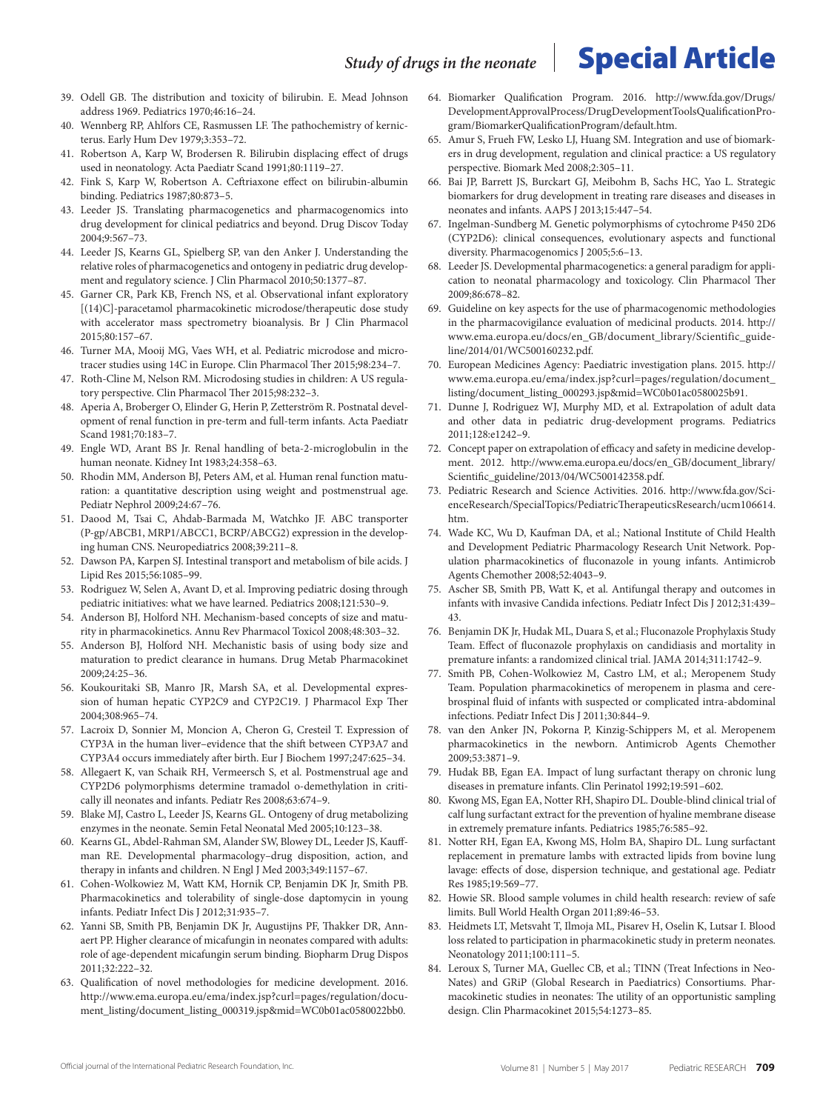- 39. Odell GB. The distribution and toxicity of bilirubin. E. Mead Johnson address 1969. Pediatrics 1970;46:16–24.
- 40. Wennberg RP, Ahlfors CE, Rasmussen LF. The pathochemistry of kernicterus. Early Hum Dev 1979;3:353–72.
- 41. Robertson A, Karp W, Brodersen R. Bilirubin displacing effect of drugs used in neonatology. Acta Paediatr Scand 1991;80:1119–27.
- 42. Fink S, Karp W, Robertson A. Ceftriaxone effect on bilirubin-albumin binding. Pediatrics 1987;80:873–5.
- 43. Leeder JS. Translating pharmacogenetics and pharmacogenomics into drug development for clinical pediatrics and beyond. Drug Discov Today 2004;9:567–73.
- 44. Leeder JS, Kearns GL, Spielberg SP, van den Anker J. Understanding the relative roles of pharmacogenetics and ontogeny in pediatric drug development and regulatory science. J Clin Pharmacol 2010;50:1377–87.
- 45. Garner CR, Park KB, French NS, et al. Observational infant exploratory [(14)C]-paracetamol pharmacokinetic microdose/therapeutic dose study with accelerator mass spectrometry bioanalysis. Br J Clin Pharmacol 2015;80:157–67.
- 46. Turner MA, Mooij MG, Vaes WH, et al. Pediatric microdose and microtracer studies using 14C in Europe. Clin Pharmacol Ther 2015;98:234–7.
- 47. Roth-Cline M, Nelson RM. Microdosing studies in children: A US regulatory perspective. Clin Pharmacol Ther 2015;98:232–3.
- 48. Aperia A, Broberger O, Elinder G, Herin P, Zetterström R. Postnatal development of renal function in pre-term and full-term infants. Acta Paediatr Scand 1981;70:183–7.
- 49. Engle WD, Arant BS Jr. Renal handling of beta-2-microglobulin in the human neonate. Kidney Int 1983;24:358–63.
- 50. Rhodin MM, Anderson BJ, Peters AM, et al. Human renal function maturation: a quantitative description using weight and postmenstrual age. Pediatr Nephrol 2009;24:67–76.
- 51. Daood M, Tsai C, Ahdab-Barmada M, Watchko JF. ABC transporter (P-gp/ABCB1, MRP1/ABCC1, BCRP/ABCG2) expression in the developing human CNS. Neuropediatrics 2008;39:211–8.
- 52. Dawson PA, Karpen SJ. Intestinal transport and metabolism of bile acids. J Lipid Res 2015;56:1085–99.
- 53. Rodriguez W, Selen A, Avant D, et al. Improving pediatric dosing through pediatric initiatives: what we have learned. Pediatrics 2008;121:530–9.
- 54. Anderson BJ, Holford NH. Mechanism-based concepts of size and maturity in pharmacokinetics. Annu Rev Pharmacol Toxicol 2008;48:303–32.
- 55. Anderson BJ, Holford NH. Mechanistic basis of using body size and maturation to predict clearance in humans. Drug Metab Pharmacokinet 2009;24:25–36.
- 56. Koukouritaki SB, Manro JR, Marsh SA, et al. Developmental expression of human hepatic CYP2C9 and CYP2C19. J Pharmacol Exp Ther 2004;308:965–74.
- 57. Lacroix D, Sonnier M, Moncion A, Cheron G, Cresteil T. Expression of CYP3A in the human liver–evidence that the shift between CYP3A7 and CYP3A4 occurs immediately after birth. Eur J Biochem 1997;247:625–34.
- 58. Allegaert K, van Schaik RH, Vermeersch S, et al. Postmenstrual age and CYP2D6 polymorphisms determine tramadol o-demethylation in critically ill neonates and infants. Pediatr Res 2008;63:674–9.
- 59. Blake MJ, Castro L, Leeder JS, Kearns GL. Ontogeny of drug metabolizing enzymes in the neonate. Semin Fetal Neonatal Med 2005;10:123–38.
- 60. Kearns GL, Abdel-Rahman SM, Alander SW, Blowey DL, Leeder JS, Kauffman RE. Developmental pharmacology–drug disposition, action, and therapy in infants and children. N Engl J Med 2003;349:1157–67.
- 61. Cohen-Wolkowiez M, Watt KM, Hornik CP, Benjamin DK Jr, Smith PB. Pharmacokinetics and tolerability of single-dose daptomycin in young infants. Pediatr Infect Dis J 2012;31:935–7.
- 62. Yanni SB, Smith PB, Benjamin DK Jr, Augustijns PF, Thakker DR, Annaert PP. Higher clearance of micafungin in neonates compared with adults: role of age-dependent micafungin serum binding. Biopharm Drug Dispos 2011;32:222–32.
- 63. Qualification of novel methodologies for medicine development. 2016. [http://www.ema.europa.eu/ema/index.jsp?curl=pages/regulation/docu](http://www.ema.europa.eu/ema/index.jsp?curl=pages/regulation/document_listing/document_listing_000319.jsp & mid=WC0b01ac0580022bb0)[ment\\_listing/document\\_listing\\_000319.jsp&mid=WC0b01ac0580022bb0.](http://www.ema.europa.eu/ema/index.jsp?curl=pages/regulation/document_listing/document_listing_000319.jsp & mid=WC0b01ac0580022bb0)
- 64. Biomarker Qualification Program. 2016. [http://www.fda.gov/Drugs/](http://www.fda.gov/Drugs/DevelopmentApprovalProcess/DrugDevelopmentToolsQualificationProgram/BiomarkerQualificationProgram/default.htm) [DevelopmentApprovalProcess/DrugDevelopmentToolsQualificationPro](http://www.fda.gov/Drugs/DevelopmentApprovalProcess/DrugDevelopmentToolsQualificationProgram/BiomarkerQualificationProgram/default.htm)[gram/BiomarkerQualificationProgram/default.htm](http://www.fda.gov/Drugs/DevelopmentApprovalProcess/DrugDevelopmentToolsQualificationProgram/BiomarkerQualificationProgram/default.htm).
- 65. Amur S, Frueh FW, Lesko LJ, Huang SM. Integration and use of biomarkers in drug development, regulation and clinical practice: a US regulatory perspective. Biomark Med 2008;2:305–11.
- 66. Bai JP, Barrett JS, Burckart GJ, Meibohm B, Sachs HC, Yao L. Strategic biomarkers for drug development in treating rare diseases and diseases in neonates and infants. AAPS J 2013;15:447–54.
- 67. Ingelman-Sundberg M. Genetic polymorphisms of cytochrome P450 2D6 (CYP2D6): clinical consequences, evolutionary aspects and functional diversity. Pharmacogenomics J 2005;5:6–13.
- 68. Leeder JS. Developmental pharmacogenetics: a general paradigm for application to neonatal pharmacology and toxicology. Clin Pharmacol Ther 2009;86:678–82.
- 69. Guideline on key aspects for the use of pharmacogenomic methodologies in the pharmacovigilance evaluation of medicinal products. 2014. [http://](http://www.ema.europa.eu/docs/en_GB/document_library/Scientific_guideline/2014/01/WC500160232.pdf) [www.ema.europa.eu/docs/en\\_GB/document\\_library/Scientific\\_guide](http://www.ema.europa.eu/docs/en_GB/document_library/Scientific_guideline/2014/01/WC500160232.pdf)[line/2014/01/WC500160232.pdf.](http://www.ema.europa.eu/docs/en_GB/document_library/Scientific_guideline/2014/01/WC500160232.pdf)
- 70. European Medicines Agency: Paediatric investigation plans. 2015. [http://](http://www.ema.europa.eu/ema/index.jsp?curl=pages/regulation/document_listing/document_listing_000293.jsp&mid=WC0b01ac0580025b91) [www.ema.europa.eu/ema/index.jsp?curl=pages/regulation/document\\_](http://www.ema.europa.eu/ema/index.jsp?curl=pages/regulation/document_listing/document_listing_000293.jsp&mid=WC0b01ac0580025b91) [listing/document\\_listing\\_000293.jsp&mid=WC0b01ac0580025b91](http://www.ema.europa.eu/ema/index.jsp?curl=pages/regulation/document_listing/document_listing_000293.jsp&mid=WC0b01ac0580025b91).
- 71. Dunne J, Rodriguez WJ, Murphy MD, et al. Extrapolation of adult data and other data in pediatric drug-development programs. Pediatrics 2011;128:e1242–9.
- 72. Concept paper on extrapolation of efficacy and safety in medicine development. 2012. [http://www.ema.europa.eu/docs/en\\_GB/document\\_library/](http://www.ema.europa.eu/docs/en_GB/document_library/Scientific_guideline/2013/04/WC500142358.pdf) [Scientific\\_guideline/2013/04/WC500142358.pdf](http://www.ema.europa.eu/docs/en_GB/document_library/Scientific_guideline/2013/04/WC500142358.pdf).
- 73. Pediatric Research and Science Activities. 2016. [http://www.fda.gov/Sci](http://www.fda.gov/ScienceResearch/SpecialTopics/PediatricTherapeuticsResearch/ucm106614.htm)[enceResearch/SpecialTopics/PediatricTherapeuticsResearch/ucm106614.](http://www.fda.gov/ScienceResearch/SpecialTopics/PediatricTherapeuticsResearch/ucm106614.htm) [htm.](http://www.fda.gov/ScienceResearch/SpecialTopics/PediatricTherapeuticsResearch/ucm106614.htm)
- 74. Wade KC, Wu D, Kaufman DA, et al.; National Institute of Child Health and Development Pediatric Pharmacology Research Unit Network. Population pharmacokinetics of fluconazole in young infants. Antimicrob Agents Chemother 2008;52:4043–9.
- 75. Ascher SB, Smith PB, Watt K, et al. Antifungal therapy and outcomes in infants with invasive Candida infections. Pediatr Infect Dis J 2012;31:439– 43.
- 76. Benjamin DK Jr, Hudak ML, Duara S, et al.; Fluconazole Prophylaxis Study Team. Effect of fluconazole prophylaxis on candidiasis and mortality in premature infants: a randomized clinical trial. JAMA 2014;311:1742–9.
- Smith PB, Cohen-Wolkowiez M, Castro LM, et al.; Meropenem Study Team. Population pharmacokinetics of meropenem in plasma and cerebrospinal fluid of infants with suspected or complicated intra-abdominal infections. Pediatr Infect Dis J 2011;30:844–9.
- 78. van den Anker JN, Pokorna P, Kinzig-Schippers M, et al. Meropenem pharmacokinetics in the newborn. Antimicrob Agents Chemother 2009;53:3871–9.
- 79. Hudak BB, Egan EA. Impact of lung surfactant therapy on chronic lung diseases in premature infants. Clin Perinatol 1992;19:591–602.
- 80. Kwong MS, Egan EA, Notter RH, Shapiro DL. Double-blind clinical trial of calf lung surfactant extract for the prevention of hyaline membrane disease in extremely premature infants. Pediatrics 1985;76:585–92.
- 81. Notter RH, Egan EA, Kwong MS, Holm BA, Shapiro DL. Lung surfactant replacement in premature lambs with extracted lipids from bovine lung lavage: effects of dose, dispersion technique, and gestational age. Pediatr Res 1985;19:569–77.
- 82. Howie SR. Blood sample volumes in child health research: review of safe limits. Bull World Health Organ 2011;89:46–53.
- 83. Heidmets LT, Metsvaht T, Ilmoja ML, Pisarev H, Oselin K, Lutsar I. Blood loss related to participation in pharmacokinetic study in preterm neonates. Neonatology 2011;100:111–5.
- 84. Leroux S, Turner MA, Guellec CB, et al.; TINN (Treat Infections in Neo-Nates) and GRiP (Global Research in Paediatrics) Consortiums. Pharmacokinetic studies in neonates: The utility of an opportunistic sampling design. Clin Pharmacokinet 2015;54:1273–85.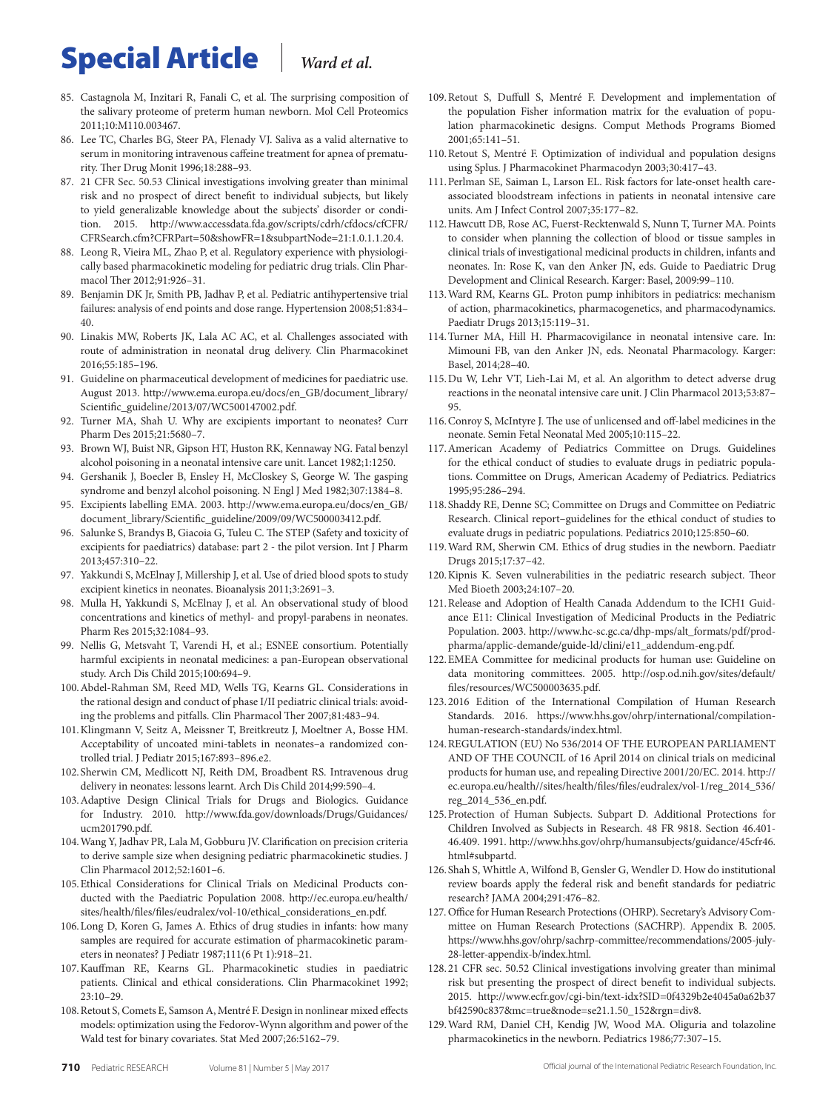- 85. Castagnola M, Inzitari R, Fanali C, et al. The surprising composition of the salivary proteome of preterm human newborn. Mol Cell Proteomics 2011;10:M110.003467.
- 86. Lee TC, Charles BG, Steer PA, Flenady VJ. Saliva as a valid alternative to serum in monitoring intravenous caffeine treatment for apnea of prematurity. Ther Drug Monit 1996;18:288–93.
- 87. 21 CFR Sec. 50.53 Clinical investigations involving greater than minimal risk and no prospect of direct benefit to individual subjects, but likely to yield generalizable knowledge about the subjects' disorder or condition. 2015. [http://www.accessdata.fda.gov/scripts/cdrh/cfdocs/cfCFR/](http://www.accessdata.fda.gov/scripts/cdrh/cfdocs/cfCFR/CFRSearch.cfm?CFRPart=50&showFR=1&subpartNode=21:1.0.1.1.20.4) [CFRSearch.cfm?CFRPart=50&showFR=1&subpartNode=21:1.0.1.1.20.4.](http://www.accessdata.fda.gov/scripts/cdrh/cfdocs/cfCFR/CFRSearch.cfm?CFRPart=50&showFR=1&subpartNode=21:1.0.1.1.20.4)
- 88. Leong R, Vieira ML, Zhao P, et al. Regulatory experience with physiologically based pharmacokinetic modeling for pediatric drug trials. Clin Pharmacol Ther 2012;91:926–31.
- 89. Benjamin DK Jr, Smith PB, Jadhav P, et al. Pediatric antihypertensive trial failures: analysis of end points and dose range. Hypertension 2008;51:834– 40.
- 90. Linakis MW, Roberts JK, Lala AC AC, et al. Challenges associated with route of administration in neonatal drug delivery. Clin Pharmacokinet 2016;55:185–196.
- 91. Guideline on pharmaceutical development of medicines for paediatric use. August 2013. [http://www.ema.europa.eu/docs/en\\_GB/document\\_library/](http://www.ema.europa.eu/docs/en_GB/document_library/Scientific_guideline/2013/07/WC500147002.pdf) [Scientific\\_guideline/2013/07/WC500147002.pdf.](http://www.ema.europa.eu/docs/en_GB/document_library/Scientific_guideline/2013/07/WC500147002.pdf)
- 92. Turner MA, Shah U. Why are excipients important to neonates? Curr Pharm Des 2015;21:5680–7.
- 93. Brown WJ, Buist NR, Gipson HT, Huston RK, Kennaway NG. Fatal benzyl alcohol poisoning in a neonatal intensive care unit. Lancet 1982;1:1250.
- 94. Gershanik J, Boecler B, Ensley H, McCloskey S, George W. The gasping syndrome and benzyl alcohol poisoning. N Engl J Med 1982;307:1384–8.
- 95. Excipients labelling EMA. 2003. [http://www.ema.europa.eu/docs/en\\_GB/](http://www.ema.europa.eu/docs/en_GB/document_library/Scientific_guideline/2009/09/WC500003412.pdf) [document\\_library/Scientific\\_guideline/2009/09/WC500003412.pdf.](http://www.ema.europa.eu/docs/en_GB/document_library/Scientific_guideline/2009/09/WC500003412.pdf)
- 96. Salunke S, Brandys B, Giacoia G, Tuleu C. The STEP (Safety and toxicity of excipients for paediatrics) database: part 2 - the pilot version. Int J Pharm 2013;457:310–22.
- 97. Yakkundi S, McElnay J, Millership J, et al. Use of dried blood spots to study excipient kinetics in neonates. Bioanalysis 2011;3:2691–3.
- 98. Mulla H, Yakkundi S, McElnay J, et al. An observational study of blood concentrations and kinetics of methyl- and propyl-parabens in neonates. Pharm Res 2015;32:1084–93.
- 99. Nellis G, Metsvaht T, Varendi H, et al.; ESNEE consortium. Potentially harmful excipients in neonatal medicines: a pan-European observational study. Arch Dis Child 2015;100:694–9.
- 100.Abdel-Rahman SM, Reed MD, Wells TG, Kearns GL. Considerations in the rational design and conduct of phase I/II pediatric clinical trials: avoiding the problems and pitfalls. Clin Pharmacol Ther 2007;81:483–94.
- 101.Klingmann V, Seitz A, Meissner T, Breitkreutz J, Moeltner A, Bosse HM. Acceptability of uncoated mini-tablets in neonates–a randomized controlled trial. J Pediatr 2015;167:893–896.e2.
- 102. Sherwin CM, Medlicott NJ, Reith DM, Broadbent RS. Intravenous drug delivery in neonates: lessons learnt. Arch Dis Child 2014;99:590–4.
- 103.Adaptive Design Clinical Trials for Drugs and Biologics. Guidance for Industry. 2010. [http://www.fda.gov/downloads/Drugs/Guidances/](http://www.fda.gov/downloads/Drugs/Guidances/ucm201790.pdf) [ucm201790.pdf.](http://www.fda.gov/downloads/Drugs/Guidances/ucm201790.pdf)
- 104.Wang Y, Jadhav PR, Lala M, Gobburu JV. Clarification on precision criteria to derive sample size when designing pediatric pharmacokinetic studies. J Clin Pharmacol 2012;52:1601–6.
- 105.Ethical Considerations for Clinical Trials on Medicinal Products conducted with the Paediatric Population 2008. [http://ec.europa.eu/health/](http://ec.europa.eu/health/sites/health/files/files/eudralex/vol-10/ethical_considerations_en.pdf) [sites/health/files/files/eudralex/vol-10/ethical\\_considerations\\_en.pdf.](http://ec.europa.eu/health/sites/health/files/files/eudralex/vol-10/ethical_considerations_en.pdf)
- 106.Long D, Koren G, James A. Ethics of drug studies in infants: how many samples are required for accurate estimation of pharmacokinetic parameters in neonates? J Pediatr 1987;111(6 Pt 1):918–21.
- 107.Kauffman RE, Kearns GL. Pharmacokinetic studies in paediatric patients. Clinical and ethical considerations. Clin Pharmacokinet 1992; 23:10–29.
- 108.Retout S, Comets E, Samson A, Mentré F. Design in nonlinear mixed effects models: optimization using the Fedorov-Wynn algorithm and power of the Wald test for binary covariates. Stat Med 2007;26:5162–79.
- 109.Retout S, Duffull S, Mentré F. Development and implementation of the population Fisher information matrix for the evaluation of population pharmacokinetic designs. Comput Methods Programs Biomed 2001;65:141–51.
- 110.Retout S, Mentré F. Optimization of individual and population designs using Splus. J Pharmacokinet Pharmacodyn 2003;30:417–43.
- 111.Perlman SE, Saiman L, Larson EL. Risk factors for late-onset health careassociated bloodstream infections in patients in neonatal intensive care units. Am J Infect Control 2007;35:177–82.
- 112.Hawcutt DB, Rose AC, Fuerst-Recktenwald S, Nunn T, Turner MA. Points to consider when planning the collection of blood or tissue samples in clinical trials of investigational medicinal products in children, infants and neonates. In: Rose K, van den Anker JN, eds. Guide to Paediatric Drug Development and Clinical Research. Karger: Basel, 2009:99–110.
- 113.Ward RM, Kearns GL. Proton pump inhibitors in pediatrics: mechanism of action, pharmacokinetics, pharmacogenetics, and pharmacodynamics. Paediatr Drugs 2013;15:119–31.
- 114.Turner MA, Hill H. Pharmacovigilance in neonatal intensive care. In: Mimouni FB, van den Anker JN, eds. Neonatal Pharmacology. Karger: Basel, 2014;28–40.
- 115.Du W, Lehr VT, Lieh-Lai M, et al. An algorithm to detect adverse drug reactions in the neonatal intensive care unit. J Clin Pharmacol 2013;53:87– 95.
- 116.Conroy S, McIntyre J. The use of unlicensed and off-label medicines in the neonate. Semin Fetal Neonatal Med 2005;10:115–22.
- 117.American Academy of Pediatrics Committee on Drugs. Guidelines for the ethical conduct of studies to evaluate drugs in pediatric populations. Committee on Drugs, American Academy of Pediatrics. Pediatrics 1995;95:286–294.
- 118. Shaddy RE, Denne SC; Committee on Drugs and Committee on Pediatric Research. Clinical report–guidelines for the ethical conduct of studies to evaluate drugs in pediatric populations. Pediatrics 2010;125:850–60.
- 119.Ward RM, Sherwin CM. Ethics of drug studies in the newborn. Paediatr Drugs 2015;17:37–42.
- 120.Kipnis K. Seven vulnerabilities in the pediatric research subject. Theor Med Bioeth 2003;24:107–20.
- 121.Release and Adoption of Health Canada Addendum to the ICH1 Guidance E11: Clinical Investigation of Medicinal Products in the Pediatric Population. 2003. [http://www.hc-sc.gc.ca/dhp-mps/alt\\_formats/pdf/prod](http://www.hc-sc.gc.ca/dhp-mps/alt_formats/pdf/prodpharma/applic-demande/guide-ld/clini/e11_addendum-eng.pdf)[pharma/applic-demande/guide-ld/clini/e11\\_addendum-eng.pdf](http://www.hc-sc.gc.ca/dhp-mps/alt_formats/pdf/prodpharma/applic-demande/guide-ld/clini/e11_addendum-eng.pdf).
- 122.EMEA Committee for medicinal products for human use: Guideline on data monitoring committees. 2005. [http://osp.od.nih.gov/sites/default/](http://osp.od.nih.gov/sites/default/files/resources/WC500003635.pdf) [files/resources/WC500003635.pdf.](http://osp.od.nih.gov/sites/default/files/resources/WC500003635.pdf)
- 123.2016 Edition of the International Compilation of Human Research Standards. 2016. [https://www.hhs.gov/ohrp/international/compilation](https://www.hhs.gov/ohrp/international/compilation-human-research-standards/index.html)[human-research-standards/index.html.](https://www.hhs.gov/ohrp/international/compilation-human-research-standards/index.html)
- 124.REGULATION (EU) No 536/2014 OF THE EUROPEAN PARLIAMENT AND OF THE COUNCIL of 16 April 2014 on clinical trials on medicinal products for human use, and repealing Directive 2001/20/EC. 2014. [http://](http://ec.europa.eu/health//sites/health/files/files/eudralex/vol-1/reg_2014_536/reg_2014_536_en.pdf) [ec.europa.eu/health//sites/health/files/files/eudralex/vol-1/reg\\_2014\\_536/](http://ec.europa.eu/health//sites/health/files/files/eudralex/vol-1/reg_2014_536/reg_2014_536_en.pdf) [reg\\_2014\\_536\\_en.pdf](http://ec.europa.eu/health//sites/health/files/files/eudralex/vol-1/reg_2014_536/reg_2014_536_en.pdf).
- 125.Protection of Human Subjects. Subpart D. Additional Protections for Children Involved as Subjects in Research. 48 FR 9818. Section 46.401- 46.409. 1991. [http://www.hhs.gov/ohrp/humansubjects/guidance/45cfr46.](http://www.hhs.gov/ohrp/humansubjects/guidance/45cfr46.html # subpartd) [html#subpartd.](http://www.hhs.gov/ohrp/humansubjects/guidance/45cfr46.html # subpartd)
- 126. Shah S, Whittle A, Wilfond B, Gensler G, Wendler D. How do institutional review boards apply the federal risk and benefit standards for pediatric research? JAMA 2004;291:476–82.
- 127.Office for Human Research Protections (OHRP). Secretary's Advisory Committee on Human Research Protections (SACHRP). Appendix B. 2005. [https://www.hhs.gov/ohrp/sachrp-committee/recommendations/2005-july-](https://www.hhs.gov/ohrp/sachrp-committee/recommendations/2005-july-28-letter-appendix-b/index.html)[28-letter-appendix-b/index.html.](https://www.hhs.gov/ohrp/sachrp-committee/recommendations/2005-july-28-letter-appendix-b/index.html)
- 128.21 CFR sec. 50.52 Clinical investigations involving greater than minimal risk but presenting the prospect of direct benefit to individual subjects. 2015. [http://www.ecfr.gov/cgi-bin/text-idx?SID=0f4329b2e4045a0a62b37](http://www.ecfr.gov/cgi-bin/text-idx?SID=0f4329b2e4045a0a62b37bf42590c837&mc=true&node=se21.1.50_152&rgn=div8) [bf42590c837&mc=true&node=se21.1.50\\_152&rgn=div8](http://www.ecfr.gov/cgi-bin/text-idx?SID=0f4329b2e4045a0a62b37bf42590c837&mc=true&node=se21.1.50_152&rgn=div8).
- 129.Ward RM, Daniel CH, Kendig JW, Wood MA. Oliguria and tolazoline pharmacokinetics in the newborn. Pediatrics 1986;77:307–15.